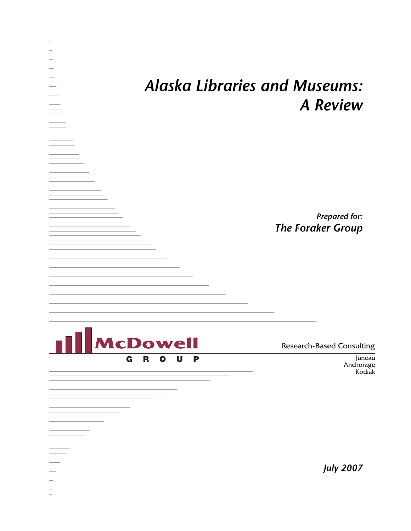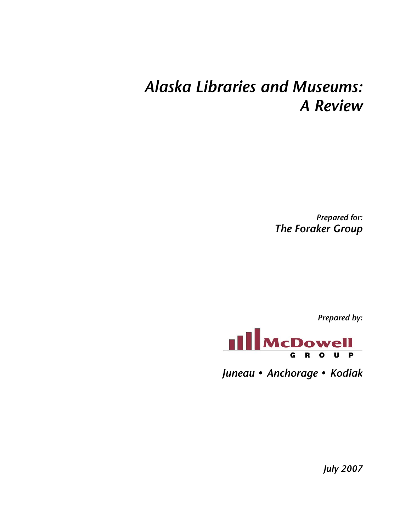## *Alaska Libraries and Museums: A Review*

*Prepared for: The Foraker Group* 

*Prepared by:* 



*Juneau* **•** *Anchorage* **•** *Kodiak* 

*July 2007*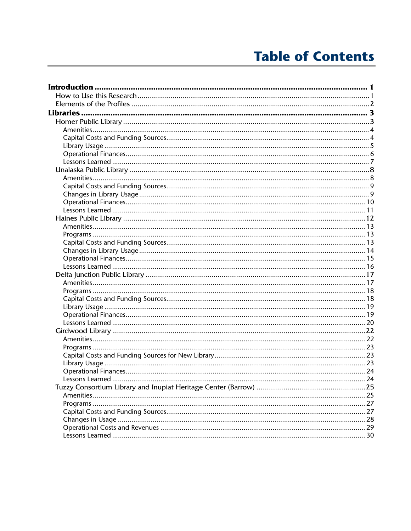## **Table of Contents**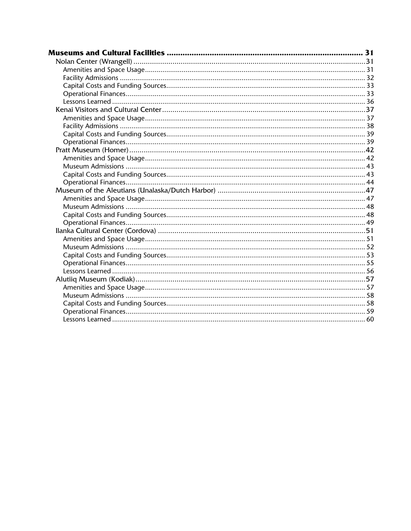| Museums and Cultural Facilities ………………………………………………………………………………… 31 |  |
|--------------------------------------------------------------------|--|
|                                                                    |  |
|                                                                    |  |
|                                                                    |  |
|                                                                    |  |
|                                                                    |  |
|                                                                    |  |
|                                                                    |  |
|                                                                    |  |
|                                                                    |  |
|                                                                    |  |
|                                                                    |  |
|                                                                    |  |
|                                                                    |  |
|                                                                    |  |
|                                                                    |  |
|                                                                    |  |
|                                                                    |  |
|                                                                    |  |
|                                                                    |  |
|                                                                    |  |
|                                                                    |  |
|                                                                    |  |
|                                                                    |  |
|                                                                    |  |
|                                                                    |  |
|                                                                    |  |
|                                                                    |  |
|                                                                    |  |
|                                                                    |  |
|                                                                    |  |
|                                                                    |  |
|                                                                    |  |
|                                                                    |  |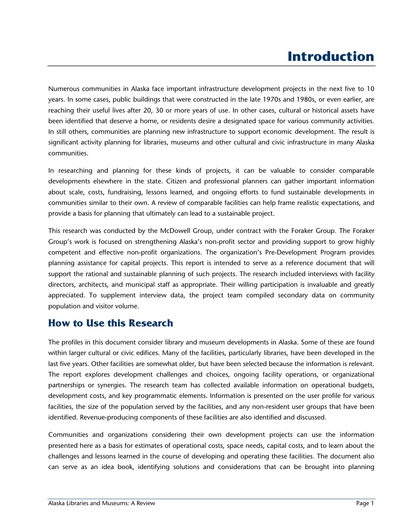## **Introduction**

Numerous communities in Alaska face important infrastructure development projects in the next five to 10 years. In some cases, public buildings that were constructed in the late 1970s and 1980s, or even earlier, are reaching their useful lives after 20, 30 or more years of use. In other cases, cultural or historical assets have been identified that deserve a home, or residents desire a designated space for various community activities. In still others, communities are planning new infrastructure to support economic development. The result is significant activity planning for libraries, museums and other cultural and civic infrastructure in many Alaska communities.

In researching and planning for these kinds of projects, it can be valuable to consider comparable developments elsewhere in the state. Citizen and professional planners can gather important information about scale, costs, fundraising, lessons learned, and ongoing efforts to fund sustainable developments in communities similar to their own. A review of comparable facilities can help frame realistic expectations, and provide a basis for planning that ultimately can lead to a sustainable project.

This research was conducted by the McDowell Group, under contract with the Foraker Group. The Foraker Group's work is focused on strengthening Alaska's non-profit sector and providing support to grow highly competent and effective non-profit organizations. The organization's Pre-Development Program provides planning assistance for capital projects. This report is intended to serve as a reference document that will support the rational and sustainable planning of such projects. The research included interviews with facility directors, architects, and municipal staff as appropriate. Their willing participation is invaluable and greatly appreciated. To supplement interview data, the project team compiled secondary data on community population and visitor volume.

## **How to Use this Research**

The profiles in this document consider library and museum developments in Alaska. Some of these are found within larger cultural or civic edifices. Many of the facilities, particularly libraries, have been developed in the last five years. Other facilities are somewhat older, but have been selected because the information is relevant. The report explores development challenges and choices, ongoing facility operations, or organizational partnerships or synergies. The research team has collected available information on operational budgets, development costs, and key programmatic elements. Information is presented on the user profile for various facilities, the size of the population served by the facilities, and any non-resident user groups that have been identified. Revenue-producing components of these facilities are also identified and discussed.

Communities and organizations considering their own development projects can use the information presented here as a basis for estimates of operational costs, space needs, capital costs, and to learn about the challenges and lessons learned in the course of developing and operating these facilities. The document also can serve as an idea book, identifying solutions and considerations that can be brought into planning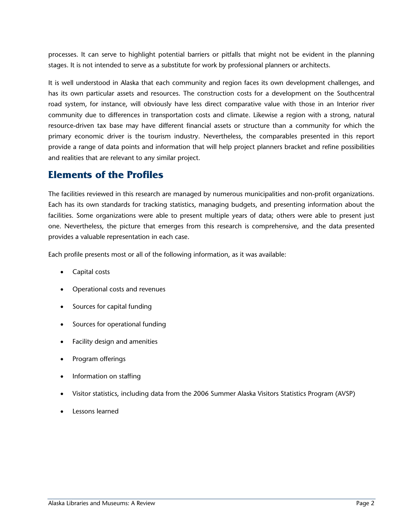processes. It can serve to highlight potential barriers or pitfalls that might not be evident in the planning stages. It is not intended to serve as a substitute for work by professional planners or architects.

It is well understood in Alaska that each community and region faces its own development challenges, and has its own particular assets and resources. The construction costs for a development on the Southcentral road system, for instance, will obviously have less direct comparative value with those in an Interior river community due to differences in transportation costs and climate. Likewise a region with a strong, natural resource-driven tax base may have different financial assets or structure than a community for which the primary economic driver is the tourism industry. Nevertheless, the comparables presented in this report provide a range of data points and information that will help project planners bracket and refine possibilities and realities that are relevant to any similar project.

### **Elements of the Profiles**

The facilities reviewed in this research are managed by numerous municipalities and non-profit organizations. Each has its own standards for tracking statistics, managing budgets, and presenting information about the facilities. Some organizations were able to present multiple years of data; others were able to present just one. Nevertheless, the picture that emerges from this research is comprehensive, and the data presented provides a valuable representation in each case.

Each profile presents most or all of the following information, as it was available:

- Capital costs
- Operational costs and revenues
- Sources for capital funding
- Sources for operational funding
- Facility design and amenities
- Program offerings
- Information on staffing
- Visitor statistics, including data from the 2006 Summer Alaska Visitors Statistics Program (AVSP)
- Lessons learned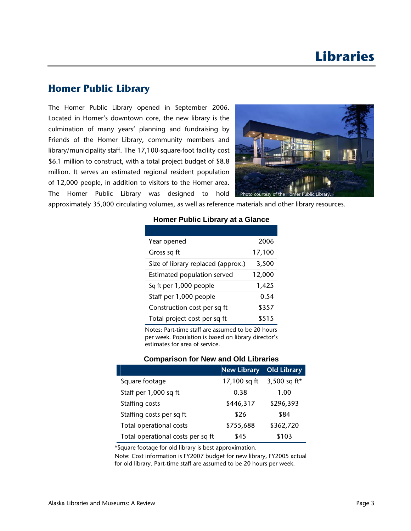### **Homer Public Library**

The Homer Public Library opened in September 2006. Located in Homer's downtown core, the new library is the culmination of many years' planning and fundraising by Friends of the Homer Library, community members and library/municipality staff. The 17,100-square-foot facility cost \$6.1 million to construct, with a total project budget of \$8.8 million. It serves an estimated regional resident population of 12,000 people, in addition to visitors to the Homer area. The Homer Public Library was designed to hold



approximately 35,000 circulating volumes, as well as reference materials and other library resources.

| 2006   |
|--------|
| 17,100 |
| 3,500  |
| 12,000 |
| 1,425  |
| 0.54   |
| \$357  |
| \$515  |
|        |

#### **Homer Public Library at a Glance**

Notes: Part-time staff are assumed to be 20 hours per week. Population is based on library director's estimates for area of service.

#### **Comparison for New and Old Libraries**

|                                   | <b>New Library</b> | Old Library  |
|-----------------------------------|--------------------|--------------|
| Square footage                    | 17,100 sq ft       | 3,500 sq ft* |
| Staff per 1,000 sq ft             | 0.38               | 1.00         |
| Staffing costs                    | \$446,317          | \$296,393    |
| Staffing costs per sq ft          | \$26               | \$84         |
| Total operational costs           | \$755,688          | \$362,720    |
| Total operational costs per sq ft | \$45               | \$103        |

\*Square footage for old library is best approximation.

Note: Cost information is FY2007 budget for new library, FY2005 actual for old library. Part-time staff are assumed to be 20 hours per week.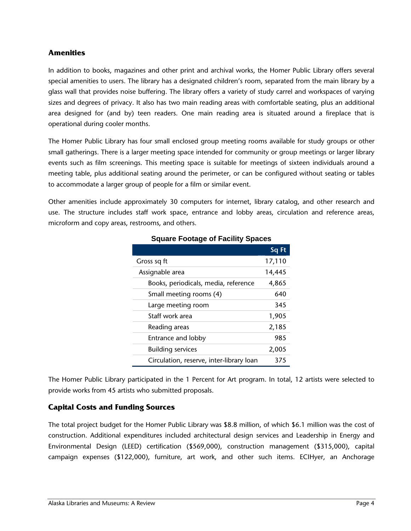#### **Amenities**

In addition to books, magazines and other print and archival works, the Homer Public Library offers several special amenities to users. The library has a designated children's room, separated from the main library by a glass wall that provides noise buffering. The library offers a variety of study carrel and workspaces of varying sizes and degrees of privacy. It also has two main reading areas with comfortable seating, plus an additional area designed for (and by) teen readers. One main reading area is situated around a fireplace that is operational during cooler months.

The Homer Public Library has four small enclosed group meeting rooms available for study groups or other small gatherings. There is a larger meeting space intended for community or group meetings or larger library events such as film screenings. This meeting space is suitable for meetings of sixteen individuals around a meeting table, plus additional seating around the perimeter, or can be configured without seating or tables to accommodate a larger group of people for a film or similar event.

Other amenities include approximately 30 computers for internet, library catalog, and other research and use. The structure includes staff work space, entrance and lobby areas, circulation and reference areas, microform and copy areas, restrooms, and others.

|                                          | Sq Ft  |
|------------------------------------------|--------|
| Gross sq ft                              | 17,110 |
| Assignable area                          | 14,445 |
| Books, periodicals, media, reference     | 4,865  |
| Small meeting rooms (4)                  | 640    |
| Large meeting room                       | 345    |
| Staff work area                          | 1,905  |
| Reading areas                            | 2,185  |
| Entrance and lobby                       | 985    |
| <b>Building services</b>                 | 2,005  |
| Circulation, reserve, inter-library loan | 375    |

#### **Square Footage of Facility Spaces**

The Homer Public Library participated in the 1 Percent for Art program. In total, 12 artists were selected to provide works from 45 artists who submitted proposals.

#### **Capital Costs and Funding Sources**

The total project budget for the Homer Public Library was \$8.8 million, of which \$6.1 million was the cost of construction. Additional expenditures included architectural design services and Leadership in Energy and Environmental Design (LEED) certification (\$569,000), construction management (\$315,000), capital campaign expenses (\$122,000), furniture, art work, and other such items. ECIHyer, an Anchorage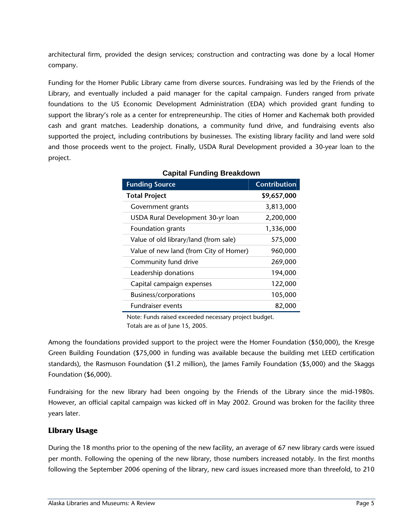architectural firm, provided the design services; construction and contracting was done by a local Homer company.

Funding for the Homer Public Library came from diverse sources. Fundraising was led by the Friends of the Library, and eventually included a paid manager for the capital campaign. Funders ranged from private foundations to the US Economic Development Administration (EDA) which provided grant funding to support the library's role as a center for entrepreneurship. The cities of Homer and Kachemak both provided cash and grant matches. Leadership donations, a community fund drive, and fundraising events also supported the project, including contributions by businesses. The existing library facility and land were sold and those proceeds went to the project. Finally, USDA Rural Development provided a 30-year loan to the project.

| <b>Funding Source</b>                  | <b>Contribution</b> |
|----------------------------------------|---------------------|
| <b>Total Project</b>                   | \$9,657,000         |
| Government grants                      | 3,813,000           |
| USDA Rural Development 30-yr loan      | 2,200,000           |
| Foundation grants                      | 1,336,000           |
| Value of old library/land (from sale)  | 575,000             |
| Value of new land (from City of Homer) | 960,000             |
| Community fund drive                   | 269,000             |
| Leadership donations                   | 194,000             |
| Capital campaign expenses              | 122,000             |
| Business/corporations                  | 105,000             |
| <b>Fundraiser events</b>               | 82,000              |

#### **Capital Funding Breakdown**

Note: Funds raised exceeded necessary project budget. Totals are as of June 15, 2005.

Among the foundations provided support to the project were the Homer Foundation (\$50,000), the Kresge Green Building Foundation (\$75,000 in funding was available because the building met LEED certification standards), the Rasmuson Foundation (\$1.2 million), the James Family Foundation (\$5,000) and the Skaggs Foundation (\$6,000).

Fundraising for the new library had been ongoing by the Friends of the Library since the mid-1980s. However, an official capital campaign was kicked off in May 2002. Ground was broken for the facility three years later.

#### **Library Usage**

During the 18 months prior to the opening of the new facility, an average of 67 new library cards were issued per month. Following the opening of the new library, those numbers increased notably. In the first months following the September 2006 opening of the library, new card issues increased more than threefold, to 210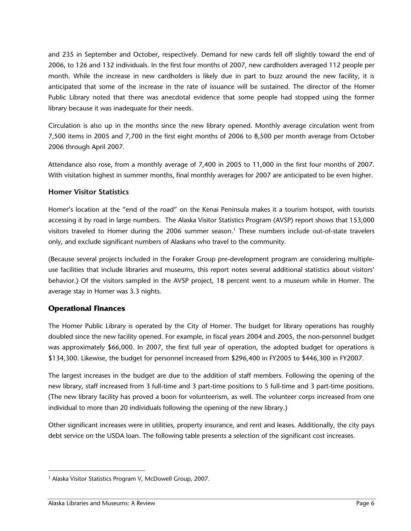and 235 in September and October, respectively. Demand for new cards fell off slightly toward the end of 2006, to 126 and 132 individuals. In the first four months of 2007, new cardholders averaged 112 people per month. While the increase in new cardholders is likely due in part to buzz around the new facility, it is anticipated that some of the increase in the rate of issuance will be sustained. The director of the Homer Public Library noted that there was anecdotal evidence that some people had stopped using the former library because it was inadequate for their needs.

Circulation is also up in the months since the new library opened. Monthly average circulation went from 7,500 items in 2005 and 7,700 in the first eight months of 2006 to 8,500 per month average from October 2006 through April 2007.

Attendance also rose, from a monthly average of 7,400 in 2005 to 11,000 in the first four months of 2007. With visitation highest in summer months, final monthly averages for 2007 are anticipated to be even higher.

#### **Homer Visitor Statistics**

Homer's location at the "end of the road" on the Kenai Peninsula makes it a tourism hotspot, with tourists accessing it by road in large numbers. The Alaska Visitor Statistics Program (AVSP) report shows that 153,000 visitors traveled to Homer during the 2006 summer season.<sup>1</sup> These numbers include out-of-state travelers only, and exclude significant numbers of Alaskans who travel to the community.

(Because several projects included in the Foraker Group pre-development program are considering multipleuse facilities that include libraries and museums, this report notes several additional statistics about visitors' behavior.) Of the visitors sampled in the AVSP project, 18 percent went to a museum while in Homer. The average stay in Homer was 3.3 nights.

#### **Operational Finances**

The Homer Public Library is operated by the City of Homer. The budget for library operations has roughly doubled since the new facility opened. For example, in fiscal years 2004 and 2005, the non-personnel budget was approximately \$66,000. In 2007, the first full year of operation, the adopted budget for operations is \$134,300. Likewise, the budget for personnel increased from \$296,400 in FY2005 to \$446,300 in FY2007.

The largest increases in the budget are due to the addition of staff members. Following the opening of the new library, staff increased from 3 full-time and 3 part-time positions to 5 full-time and 3 part-time positions. (The new library facility has proved a boon for volunteerism, as well. The volunteer corps increased from one individual to more than 20 individuals following the opening of the new library.)

Other significant increases were in utilities, property insurance, and rent and leases. Additionally, the city pays debt service on the USDA loan. The following table presents a selection of the significant cost increases.

 $\overline{a}$ 

<sup>1</sup> Alaska Visitor Statistics Program V, McDowell Group, 2007.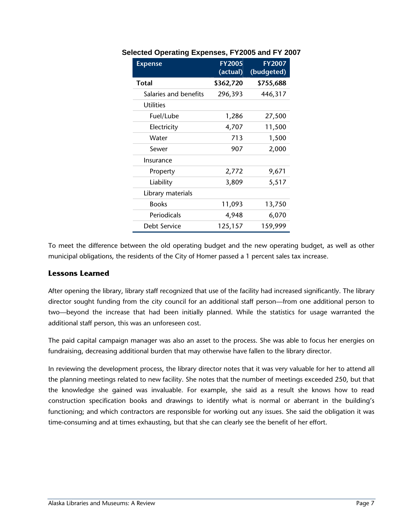| <b>Expense</b>        | <b>FY2005</b><br>(actual) | <b>FY2007</b><br>(budgeted) |
|-----------------------|---------------------------|-----------------------------|
| Total                 | \$362,720                 | \$755,688                   |
| Salaries and benefits | 296,393                   | 446,317                     |
| <b>Utilities</b>      |                           |                             |
| Fuel/Lube             | 1,286                     | 27,500                      |
| Electricity           | 4,707                     | 11,500                      |
| Water                 | 713                       | 1,500                       |
| Sewer                 | 907                       | 2,000                       |
| Insurance             |                           |                             |
| Property              | 2,772                     | 9,671                       |
| Liability             | 3,809                     | 5,517                       |
| Library materials     |                           |                             |
| <b>Books</b>          | 11,093                    | 13,750                      |
| Periodicals           | 4,948                     | 6,070                       |
| Debt Service          | 125,157                   | 159,999                     |

#### **Selected Operating Expenses, FY2005 and FY 2007**

To meet the difference between the old operating budget and the new operating budget, as well as other municipal obligations, the residents of the City of Homer passed a 1 percent sales tax increase.

#### **Lessons Learned**

After opening the library, library staff recognized that use of the facility had increased significantly. The library director sought funding from the city council for an additional staff person—from one additional person to two—beyond the increase that had been initially planned. While the statistics for usage warranted the additional staff person, this was an unforeseen cost.

The paid capital campaign manager was also an asset to the process. She was able to focus her energies on fundraising, decreasing additional burden that may otherwise have fallen to the library director.

In reviewing the development process, the library director notes that it was very valuable for her to attend all the planning meetings related to new facility. She notes that the number of meetings exceeded 250, but that the knowledge she gained was invaluable. For example, she said as a result she knows how to read construction specification books and drawings to identify what is normal or aberrant in the building's functioning; and which contractors are responsible for working out any issues. She said the obligation it was time-consuming and at times exhausting, but that she can clearly see the benefit of her effort.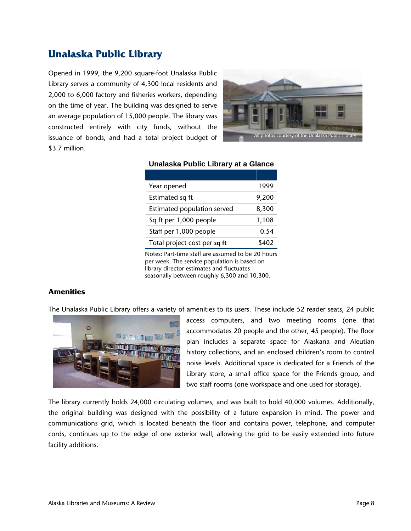## **Unalaska Public Library**

Opened in 1999, the 9,200 square-foot Unalaska Public Library serves a community of 4,300 local residents and 2,000 to 6,000 factory and fisheries workers, depending on the time of year. The building was designed to serve an average population of 15,000 people. The library was constructed entirely with city funds, without the issuance of bonds, and had a total project budget of \$3.7 million.



| Year opened                  | 1999  |
|------------------------------|-------|
| Estimated sq ft              | 9,200 |
| Estimated population served  | 8,300 |
| Sq ft per 1,000 people       | 1,108 |
| Staff per 1,000 people       | 0.54  |
| Total project cost per sq ft | \$402 |

#### **Unalaska Public Library at a Glance**

Notes: Part-time staff are assumed to be 20 hours per week. The service population is based on library director estimates and fluctuates seasonally between roughly 6,300 and 10,300.

#### **Amenities**

The Unalaska Public Library offers a variety of amenities to its users. These include 52 reader seats, 24 public



access computers, and two meeting rooms (one that accommodates 20 people and the other, 45 people). The floor plan includes a separate space for Alaskana and Aleutian history collections, and an enclosed children's room to control noise levels. Additional space is dedicated for a Friends of the Library store, a small office space for the Friends group, and two staff rooms (one workspace and one used for storage).

The library currently holds 24,000 circulating volumes, and was built to hold 40,000 volumes. Additionally, the original building was designed with the possibility of a future expansion in mind. The power and communications grid, which is located beneath the floor and contains power, telephone, and computer cords, continues up to the edge of one exterior wall, allowing the grid to be easily extended into future facility additions.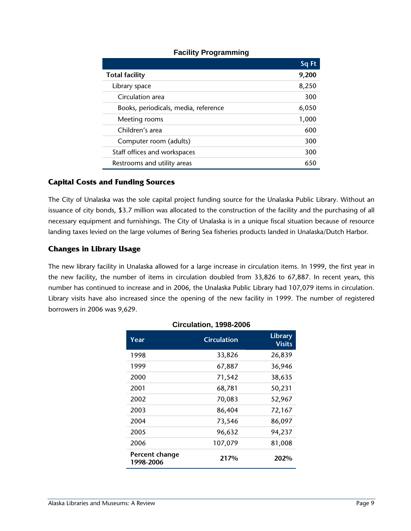|                                      | Sq Ft |
|--------------------------------------|-------|
| <b>Total facility</b>                | 9,200 |
| Library space                        | 8,250 |
| Circulation area                     | 300   |
| Books, periodicals, media, reference | 6,050 |
| Meeting rooms                        | 1,000 |
| Children's area                      | 600   |
| Computer room (adults)               | 300   |
| Staff offices and workspaces         | 300   |
| Restrooms and utility areas          | 650   |

#### **Facility Programming**

#### **Capital Costs and Funding Sources**

The City of Unalaska was the sole capital project funding source for the Unalaska Public Library. Without an issuance of city bonds, \$3.7 million was allocated to the construction of the facility and the purchasing of all necessary equipment and furnishings. The City of Unalaska is in a unique fiscal situation because of resource landing taxes levied on the large volumes of Bering Sea fisheries products landed in Unalaska/Dutch Harbor.

#### **Changes in Library Usage**

The new library facility in Unalaska allowed for a large increase in circulation items. In 1999, the first year in the new facility, the number of items in circulation doubled from 33,826 to 67,887. In recent years, this number has continued to increase and in 2006, the Unalaska Public Library had 107,079 items in circulation. Library visits have also increased since the opening of the new facility in 1999. The number of registered borrowers in 2006 was 9,629.

| Year                        | <b>Circulation</b> | <b>Library</b><br><b>Visits</b> |  |
|-----------------------------|--------------------|---------------------------------|--|
| 1998                        | 33,826             | 26,839                          |  |
| 1999                        | 67,887             | 36,946                          |  |
| 2000                        | 71,542             | 38,635                          |  |
| 2001                        | 68,781             | 50,231                          |  |
| 2002                        | 70,083             | 52,967                          |  |
| 2003                        | 86,404             | 72,167                          |  |
| 2004                        | 73,546             | 86,097                          |  |
| 2005                        | 96,632             | 94,237                          |  |
| 2006                        | 107,079            | 81,008                          |  |
| Percent change<br>1998-2006 | 217%               | 202%                            |  |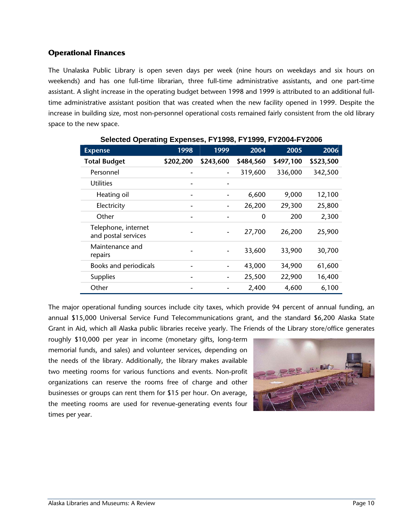#### **Operational Finances**

The Unalaska Public Library is open seven days per week (nine hours on weekdays and six hours on weekends) and has one full-time librarian, three full-time administrative assistants, and one part-time assistant. A slight increase in the operating budget between 1998 and 1999 is attributed to an additional fulltime administrative assistant position that was created when the new facility opened in 1999. Despite the increase in building size, most non-personnel operational costs remained fairly consistent from the old library space to the new space.

| <b>Expense</b>                             | 1998      | 1999           | 2004        | 2005      | 2006      |
|--------------------------------------------|-----------|----------------|-------------|-----------|-----------|
| <b>Total Budget</b>                        | \$202,200 | \$243,600      | \$484,560   | \$497,100 | \$523,500 |
| Personnel                                  |           | -              | 319,600     | 336,000   | 342,500   |
| <b>Utilities</b>                           |           |                |             |           |           |
| Heating oil                                |           |                | 6,600       | 9,000     | 12,100    |
| Electricity                                |           | $\overline{a}$ | 26,200      | 29,300    | 25,800    |
| Other                                      | ۰         |                | $\mathbf 0$ | 200       | 2,300     |
| Telephone, internet<br>and postal services |           |                | 27,700      | 26,200    | 25,900    |
| Maintenance and<br>repairs                 |           |                | 33,600      | 33,900    | 30,700    |
| Books and periodicals                      |           | -              | 43,000      | 34,900    | 61,600    |
| Supplies                                   |           |                | 25,500      | 22,900    | 16,400    |
| Other                                      |           |                | 2,400       | 4,600     | 6,100     |

**Selected Operating Expenses, FY1998, FY1999, FY2004-FY2006** 

The major operational funding sources include city taxes, which provide 94 percent of annual funding, an annual \$15,000 Universal Service Fund Telecommunications grant, and the standard \$6,200 Alaska State Grant in Aid, which all Alaska public libraries receive yearly. The Friends of the Library store/office generates

roughly \$10,000 per year in income (monetary gifts, long-term memorial funds, and sales) and volunteer services, depending on the needs of the library. Additionally, the library makes available two meeting rooms for various functions and events. Non-profit organizations can reserve the rooms free of charge and other businesses or groups can rent them for \$15 per hour. On average, the meeting rooms are used for revenue-generating events four times per year.

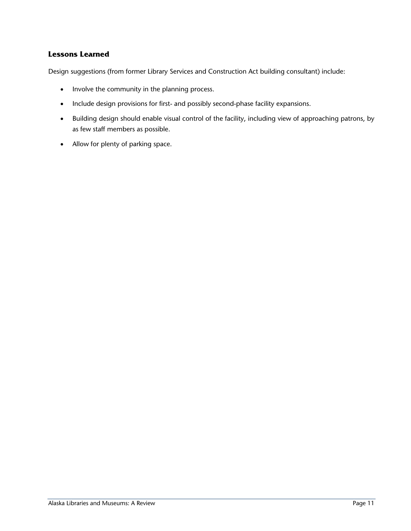#### **Lessons Learned**

Design suggestions (from former Library Services and Construction Act building consultant) include:

- Involve the community in the planning process.
- Include design provisions for first- and possibly second-phase facility expansions.
- Building design should enable visual control of the facility, including view of approaching patrons, by as few staff members as possible.
- Allow for plenty of parking space.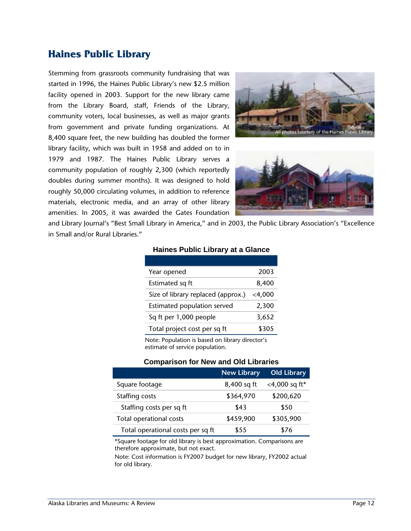## **Haines Public Library**

Stemming from grassroots community fundraising that was started in 1996, the Haines Public Library's new \$2.5 million facility opened in 2003. Support for the new library came from the Library Board, staff, Friends of the Library, community voters, local businesses, as well as major grants from government and private funding organizations. At 8,400 square feet, the new building has doubled the former library facility, which was built in 1958 and added on to in 1979 and 1987. The Haines Public Library serves a community population of roughly 2,300 (which reportedly doubles during summer months). It was designed to hold roughly 50,000 circulating volumes, in addition to reference materials, electronic media, and an array of other library amenities. In 2005, it was awarded the Gates Foundation





and Library Journal's "Best Small Library in America," and in 2003, the Public Library Association's "Excellence in Small and/or Rural Libraries."

| Year opened                        | 2003   |
|------------------------------------|--------|
| Estimated sq ft                    | 8,400  |
| Size of library replaced (approx.) | <4,000 |
| Estimated population served        | 2,300  |
| Sq ft per 1,000 people             | 3,652  |
| Total project cost per sq ft       | \$305  |

#### **Haines Public Library at a Glance**

Note: Population is based on library director's estimate of service population.

#### **Comparison for New and Old Libraries**

|                                   | <b>New Library</b> | <b>Old Library</b> |
|-----------------------------------|--------------------|--------------------|
| Square footage                    | 8,400 sq ft        | <4,000 sq ft*      |
| Staffing costs                    | \$364,970          | \$200,620          |
| Staffing costs per sq ft          | \$43               | \$50               |
| Total operational costs           | \$459,900          | \$305,900          |
| Total operational costs per sq ft | \$55               | \$76               |

\*Square footage for old library is best approximation. Comparisons are therefore approximate, but not exact.

Note: Cost information is FY2007 budget for new library, FY2002 actual for old library.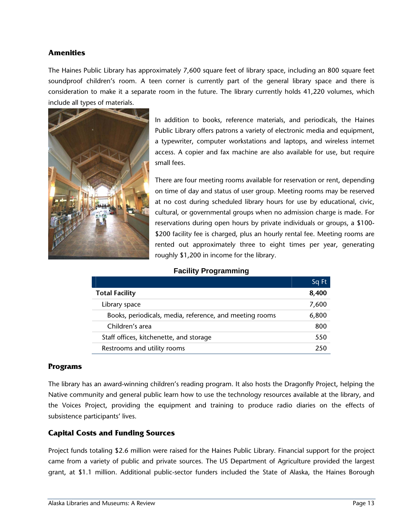#### **Amenities**

The Haines Public Library has approximately 7,600 square feet of library space, including an 800 square feet soundproof children's room. A teen corner is currently part of the general library space and there is consideration to make it a separate room in the future. The library currently holds 41,220 volumes, which include all types of materials.



In addition to books, reference materials, and periodicals, the Haines Public Library offers patrons a variety of electronic media and equipment, a typewriter, computer workstations and laptops, and wireless internet access. A copier and fax machine are also available for use, but require small fees.

There are four meeting rooms available for reservation or rent, depending on time of day and status of user group. Meeting rooms may be reserved at no cost during scheduled library hours for use by educational, civic, cultural, or governmental groups when no admission charge is made. For reservations during open hours by private individuals or groups, a \$100- \$200 facility fee is charged, plus an hourly rental fee. Meeting rooms are rented out approximately three to eight times per year, generating roughly \$1,200 in income for the library.

#### **Facility Programming**

|                                                         | Sq Ft |
|---------------------------------------------------------|-------|
| <b>Total Facility</b>                                   | 8,400 |
| Library space                                           | 7,600 |
| Books, periodicals, media, reference, and meeting rooms | 6,800 |
| Children's area                                         | 800   |
| Staff offices, kitchenette, and storage                 | 550   |
| Restrooms and utility rooms                             | 250   |

#### **Programs**

The library has an award-winning children's reading program. It also hosts the Dragonfly Project, helping the Native community and general public learn how to use the technology resources available at the library, and the Voices Project, providing the equipment and training to produce radio diaries on the effects of subsistence participants' lives.

#### **Capital Costs and Funding Sources**

Project funds totaling \$2.6 million were raised for the Haines Public Library. Financial support for the project came from a variety of public and private sources. The US Department of Agriculture provided the largest grant, at \$1.1 million. Additional public-sector funders included the State of Alaska, the Haines Borough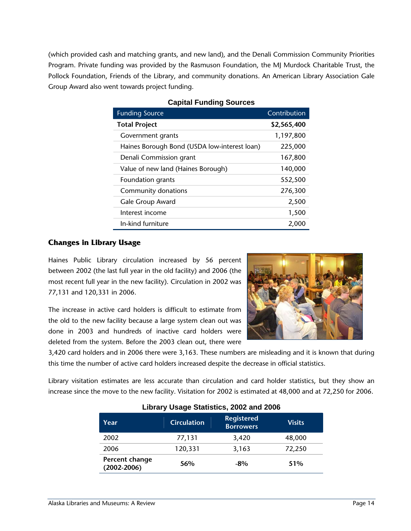(which provided cash and matching grants, and new land), and the Denali Commission Community Priorities Program. Private funding was provided by the Rasmuson Foundation, the MJ Murdock Charitable Trust, the Pollock Foundation, Friends of the Library, and community donations. An American Library Association Gale Group Award also went towards project funding.

| <b>Funding Source</b>                        | Contribution |
|----------------------------------------------|--------------|
| <b>Total Project</b>                         | \$2,565,400  |
| Government grants                            | 1,197,800    |
| Haines Borough Bond (USDA low-interest loan) | 225,000      |
| Denali Commission grant                      | 167,800      |
| Value of new land (Haines Borough)           | 140,000      |
| Foundation grants                            | 552,500      |
| Community donations                          | 276,300      |
| Gale Group Award                             | 2,500        |
| Interest income                              | 1,500        |
| In-kind furniture                            | 2,000        |

#### **Capital Funding Sources**

#### **Changes in Library Usage**

Haines Public Library circulation increased by 56 percent between 2002 (the last full year in the old facility) and 2006 (the most recent full year in the new facility). Circulation in 2002 was 77,131 and 120,331 in 2006.

The increase in active card holders is difficult to estimate from the old to the new facility because a large system clean out was done in 2003 and hundreds of inactive card holders were deleted from the system. Before the 2003 clean out, there were



3,420 card holders and in 2006 there were 3,163. These numbers are misleading and it is known that during this time the number of active card holders increased despite the decrease in official statistics.

Library visitation estimates are less accurate than circulation and card holder statistics, but they show an increase since the move to the new facility. Visitation for 2002 is estimated at 48,000 and at 72,250 for 2006.

| Year                              | <b>Circulation</b> | <b>Registered</b><br><b>Borrowers</b> | <b>Visits</b> |  |
|-----------------------------------|--------------------|---------------------------------------|---------------|--|
| 2002                              | 77,131             | 3,420                                 | 48,000        |  |
| 2006                              | 120,331            | 3,163                                 | 72,250        |  |
| Percent change<br>$(2002 - 2006)$ | 56%                | $-8\%$                                | 51%           |  |

#### **Library Usage Statistics, 2002 and 2006**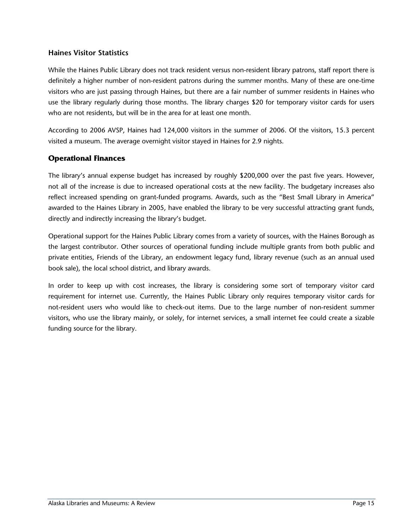#### **Haines Visitor Statistics**

While the Haines Public Library does not track resident versus non-resident library patrons, staff report there is definitely a higher number of non-resident patrons during the summer months. Many of these are one-time visitors who are just passing through Haines, but there are a fair number of summer residents in Haines who use the library regularly during those months. The library charges \$20 for temporary visitor cards for users who are not residents, but will be in the area for at least one month.

According to 2006 AVSP, Haines had 124,000 visitors in the summer of 2006. Of the visitors, 15.3 percent visited a museum. The average overnight visitor stayed in Haines for 2.9 nights.

#### **Operational Finances**

The library's annual expense budget has increased by roughly \$200,000 over the past five years. However, not all of the increase is due to increased operational costs at the new facility. The budgetary increases also reflect increased spending on grant-funded programs. Awards, such as the "Best Small Library in America" awarded to the Haines Library in 2005, have enabled the library to be very successful attracting grant funds, directly and indirectly increasing the library's budget.

Operational support for the Haines Public Library comes from a variety of sources, with the Haines Borough as the largest contributor. Other sources of operational funding include multiple grants from both public and private entities, Friends of the Library, an endowment legacy fund, library revenue (such as an annual used book sale), the local school district, and library awards.

In order to keep up with cost increases, the library is considering some sort of temporary visitor card requirement for internet use. Currently, the Haines Public Library only requires temporary visitor cards for not-resident users who would like to check-out items. Due to the large number of non-resident summer visitors, who use the library mainly, or solely, for internet services, a small internet fee could create a sizable funding source for the library.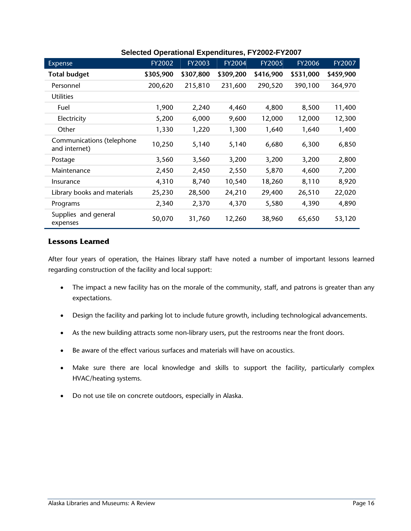| Expense                                    | FY2002    | FY2003    | FY2004    | <b>FY2005</b> | <b>FY2006</b> | FY2007    |
|--------------------------------------------|-----------|-----------|-----------|---------------|---------------|-----------|
| <b>Total budget</b>                        | \$305,900 | \$307,800 | \$309,200 | \$416,900     | \$531,000     | \$459,900 |
| Personnel                                  | 200,620   | 215,810   | 231,600   | 290,520       | 390,100       | 364,970   |
| <b>Utilities</b>                           |           |           |           |               |               |           |
| Fuel                                       | 1,900     | 2,240     | 4,460     | 4,800         | 8,500         | 11,400    |
| Electricity                                | 5,200     | 6,000     | 9,600     | 12,000        | 12,000        | 12,300    |
| Other                                      | 1,330     | 1,220     | 1,300     | 1,640         | 1,640         | 1,400     |
| Communications (telephone<br>and internet) | 10,250    | 5,140     | 5,140     | 6,680         | 6,300         | 6,850     |
| Postage                                    | 3,560     | 3,560     | 3,200     | 3,200         | 3,200         | 2,800     |
| Maintenance                                | 2,450     | 2,450     | 2,550     | 5,870         | 4,600         | 7,200     |
| Insurance                                  | 4,310     | 8,740     | 10,540    | 18,260        | 8,110         | 8,920     |
| Library books and materials                | 25,230    | 28,500    | 24,210    | 29,400        | 26,510        | 22,020    |
| Programs                                   | 2,340     | 2,370     | 4,370     | 5,580         | 4,390         | 4,890     |
| Supplies and general<br>expenses           | 50,070    | 31,760    | 12,260    | 38,960        | 65,650        | 53,120    |

#### **Selected Operational Expenditures, FY2002-FY2007**

#### **Lessons Learned**

After four years of operation, the Haines library staff have noted a number of important lessons learned regarding construction of the facility and local support:

- The impact a new facility has on the morale of the community, staff, and patrons is greater than any expectations.
- Design the facility and parking lot to include future growth, including technological advancements.
- As the new building attracts some non-library users, put the restrooms near the front doors.
- Be aware of the effect various surfaces and materials will have on acoustics.
- Make sure there are local knowledge and skills to support the facility, particularly complex HVAC/heating systems.
- Do not use tile on concrete outdoors, especially in Alaska.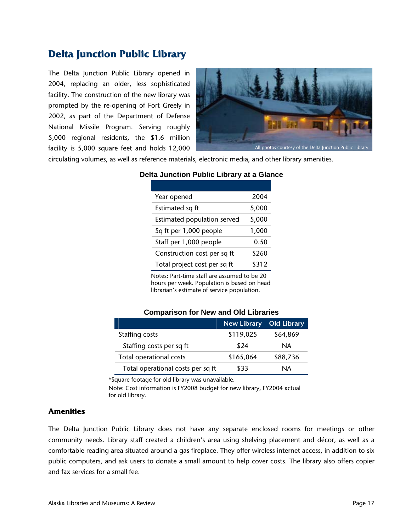## **Delta Junction Public Library**

The Delta Junction Public Library opened in 2004, replacing an older, less sophisticated facility. The construction of the new library was prompted by the re-opening of Fort Greely in 2002, as part of the Department of Defense National Missile Program. Serving roughly 5,000 regional residents, the \$1.6 million facility is 5,000 square feet and holds 12,000



circulating volumes, as well as reference materials, electronic media, and other library amenities.

| Year opened                  | 2004  |
|------------------------------|-------|
| Estimated sq ft              | 5,000 |
| Estimated population served  | 5,000 |
| Sq ft per 1,000 people       | 1,000 |
| Staff per 1,000 people       | 0.50  |
| Construction cost per sq ft  | \$260 |
| Total project cost per sq ft | \$312 |

#### **Delta Junction Public Library at a Glance**

Notes: Part-time staff are assumed to be 20 hours per week. Population is based on head librarian's estimate of service population.

#### **Comparison for New and Old Libraries**

|                                   | <b>New Library</b> | <b>Old Library</b> |
|-----------------------------------|--------------------|--------------------|
| Staffing costs                    | \$119,025          | \$64,869           |
| Staffing costs per sq ft          | \$24               | NA.                |
| Total operational costs           | \$165,064          | \$88,736           |
| Total operational costs per sq ft | \$33               | NA                 |

\*Square footage for old library was unavailable.

Note: Cost information is FY2008 budget for new library, FY2004 actual for old library.

#### **Amenities**

The Delta Junction Public Library does not have any separate enclosed rooms for meetings or other community needs. Library staff created a children's area using shelving placement and décor, as well as a comfortable reading area situated around a gas fireplace. They offer wireless internet access, in addition to six public computers, and ask users to donate a small amount to help cover costs. The library also offers copier and fax services for a small fee.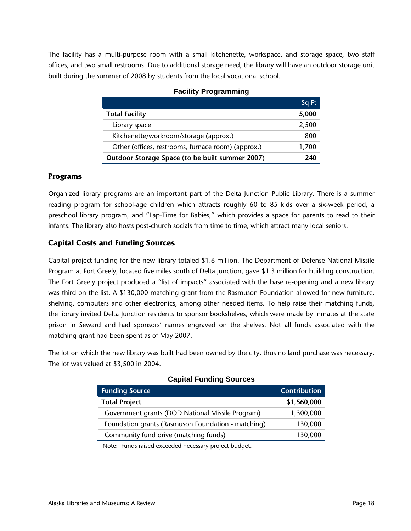The facility has a multi-purpose room with a small kitchenette, workspace, and storage space, two staff offices, and two small restrooms. Due to additional storage need, the library will have an outdoor storage unit built during the summer of 2008 by students from the local vocational school.

|                                                    | Sq Ft |
|----------------------------------------------------|-------|
| <b>Total Facility</b>                              | 5,000 |
| Library space                                      | 2,500 |
| Kitchenette/workroom/storage (approx.)             | 800   |
| Other (offices, restrooms, furnace room) (approx.) | 1,700 |
| Outdoor Storage Space (to be built summer 2007)    | 240   |

#### **Facility Programming**

#### **Programs**

Organized library programs are an important part of the Delta Junction Public Library. There is a summer reading program for school-age children which attracts roughly 60 to 85 kids over a six-week period, a preschool library program, and "Lap-Time for Babies," which provides a space for parents to read to their infants. The library also hosts post-church socials from time to time, which attract many local seniors.

#### **Capital Costs and Funding Sources**

Capital project funding for the new library totaled \$1.6 million. The Department of Defense National Missile Program at Fort Greely, located five miles south of Delta Junction, gave \$1.3 million for building construction. The Fort Greely project produced a "list of impacts" associated with the base re-opening and a new library was third on the list. A \$130,000 matching grant from the Rasmuson Foundation allowed for new furniture, shelving, computers and other electronics, among other needed items. To help raise their matching funds, the library invited Delta Junction residents to sponsor bookshelves, which were made by inmates at the state prison in Seward and had sponsors' names engraved on the shelves. Not all funds associated with the matching grant had been spent as of May 2007.

The lot on which the new library was built had been owned by the city, thus no land purchase was necessary. The lot was valued at \$3,500 in 2004.

| <b>Funding Source</b>                              | <b>Contribution</b> |
|----------------------------------------------------|---------------------|
| <b>Total Project</b>                               | \$1,560,000         |
| Government grants (DOD National Missile Program)   | 1,300,000           |
| Foundation grants (Rasmuson Foundation - matching) | 130,000             |
| Community fund drive (matching funds)              | 130,000             |

#### **Capital Funding Sources**

Note: Funds raised exceeded necessary project budget.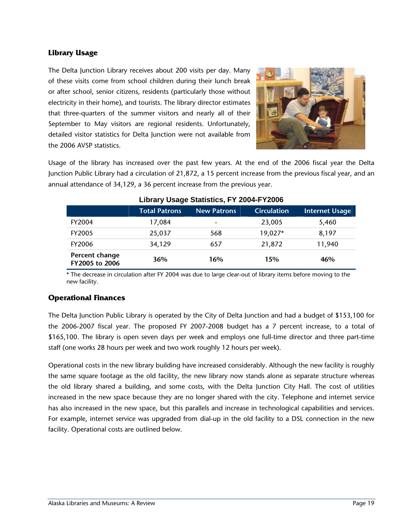#### **Library Usage**

The Delta Junction Library receives about 200 visits per day. Many of these visits come from school children during their lunch break or after school, senior citizens, residents (particularly those without electricity in their home), and tourists. The library director estimates that three-quarters of the summer visitors and nearly all of their September to May visitors are regional residents. Unfortunately, detailed visitor statistics for Delta Junction were not available from the 2006 AVSP statistics.



Usage of the library has increased over the past few years. At the end of the 2006 fiscal year the Delta Junction Public Library had a circulation of 21,872, a 15 percent increase from the previous fiscal year, and an annual attendance of 34,129, a 36 percent increase from the previous year.

| $= 1014$ , $= 1004$              |                      |                    |                    |                       |  |
|----------------------------------|----------------------|--------------------|--------------------|-----------------------|--|
|                                  | <b>Total Patrons</b> | <b>New Patrons</b> | <b>Circulation</b> | <b>Internet Usage</b> |  |
| FY2004                           | 17,084               | ٠                  | 23,005             | 5,460                 |  |
| <b>FY2005</b>                    | 25,037               | 568                | 19,027*            | 8,197                 |  |
| <b>FY2006</b>                    | 34,129               | 657                | 21,872             | 11,940                |  |
| Percent change<br>FY2005 to 2006 | 36%                  | 16%                | 15%                | 46%                   |  |

#### **Library Usage Statistics, FY 2004-FY2006**

\* The decrease in circulation after FY 2004 was due to large clear-out of library items before moving to the new facility.

#### **Operational Finances**

The Delta Junction Public Library is operated by the City of Delta Junction and had a budget of \$153,100 for the 2006-2007 fiscal year. The proposed FY 2007-2008 budget has a 7 percent increase, to a total of \$165,100. The library is open seven days per week and employs one full-time director and three part-time staff (one works 28 hours per week and two work roughly 12 hours per week).

Operational costs in the new library building have increased considerably. Although the new facility is roughly the same square footage as the old facility, the new library now stands alone as separate structure whereas the old library shared a building, and some costs, with the Delta Junction City Hall. The cost of utilities increased in the new space because they are no longer shared with the city. Telephone and internet service has also increased in the new space, but this parallels and increase in technological capabilities and services. For example, internet service was upgraded from dial-up in the old facility to a DSL connection in the new facility. Operational costs are outlined below.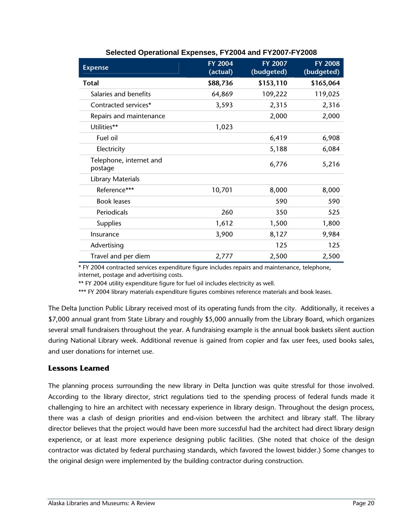| <b>Expense</b>                     | <b>FY 2004</b><br>(actual) | <b>FY 2007</b><br>(budgeted) | <b>FY 2008</b><br>(budgeted) |
|------------------------------------|----------------------------|------------------------------|------------------------------|
| Total                              | \$88,736                   | \$153,110                    | \$165,064                    |
| Salaries and benefits              | 64,869                     | 109,222                      | 119,025                      |
| Contracted services*               | 3,593                      | 2,315                        | 2,316                        |
| Repairs and maintenance            |                            | 2,000                        | 2,000                        |
| Utilities**                        | 1,023                      |                              |                              |
| Fuel oil                           |                            | 6,419                        | 6,908                        |
| Electricity                        |                            | 5,188                        | 6,084                        |
| Telephone, internet and<br>postage |                            | 6,776                        | 5,216                        |
| Library Materials                  |                            |                              |                              |
| Reference***                       | 10,701                     | 8,000                        | 8,000                        |
| <b>Book leases</b>                 |                            | 590                          | 590                          |
| Periodicals                        | 260                        | 350                          | 525                          |
| <b>Supplies</b>                    | 1,612                      | 1,500                        | 1,800                        |
| Insurance                          | 3,900                      | 8,127                        | 9,984                        |
| Advertising                        |                            | 125                          | 125                          |
| Travel and per diem                | 2,777                      | 2,500                        | 2,500                        |

#### **Selected Operational Expenses, FY2004 and FY2007-FY2008**

\* FY 2004 contracted services expenditure figure includes repairs and maintenance, telephone, internet, postage and advertising costs.

\*\* FY 2004 utility expenditure figure for fuel oil includes electricity as well.

\*\*\* FY 2004 library materials expenditure figures combines reference materials and book leases.

The Delta Junction Public Library received most of its operating funds from the city. Additionally, it receives a \$7,000 annual grant from State Library and roughly \$5,000 annually from the Library Board, which organizes several small fundraisers throughout the year. A fundraising example is the annual book baskets silent auction during National Library week. Additional revenue is gained from copier and fax user fees, used books sales, and user donations for internet use.

#### **Lessons Learned**

The planning process surrounding the new library in Delta Junction was quite stressful for those involved. According to the library director, strict regulations tied to the spending process of federal funds made it challenging to hire an architect with necessary experience in library design. Throughout the design process, there was a clash of design priorities and end-vision between the architect and library staff. The library director believes that the project would have been more successful had the architect had direct library design experience, or at least more experience designing public facilities. (She noted that choice of the design contractor was dictated by federal purchasing standards, which favored the lowest bidder.) Some changes to the original design were implemented by the building contractor during construction.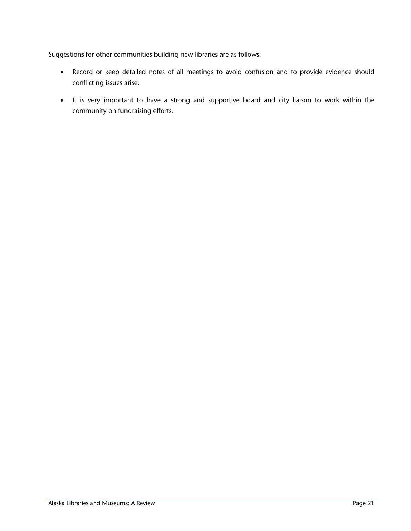Suggestions for other communities building new libraries are as follows:

- Record or keep detailed notes of all meetings to avoid confusion and to provide evidence should conflicting issues arise.
- It is very important to have a strong and supportive board and city liaison to work within the community on fundraising efforts.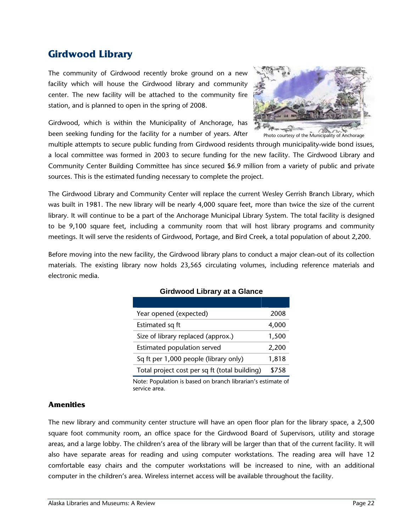## **Girdwood Library**

The community of Girdwood recently broke ground on a new facility which will house the Girdwood library and community center. The new facility will be attached to the community fire station, and is planned to open in the spring of 2008.

Girdwood, which is within the Municipality of Anchorage, has been seeking funding for the facility for a number of years. After



Photo courtesy of the Municipality of Anchorage

multiple attempts to secure public funding from Girdwood residents through municipality-wide bond issues, a local committee was formed in 2003 to secure funding for the new facility. The Girdwood Library and Community Center Building Committee has since secured \$6.9 million from a variety of public and private sources. This is the estimated funding necessary to complete the project.

The Girdwood Library and Community Center will replace the current Wesley Gerrish Branch Library, which was built in 1981. The new library will be nearly 4,000 square feet, more than twice the size of the current library. It will continue to be a part of the Anchorage Municipal Library System. The total facility is designed to be 9,100 square feet, including a community room that will host library programs and community meetings. It will serve the residents of Girdwood, Portage, and Bird Creek, a total population of about 2,200.

Before moving into the new facility, the Girdwood library plans to conduct a major clean-out of its collection materials. The existing library now holds 23,565 circulating volumes, including reference materials and electronic media.

| Year opened (expected)                        | 2008  |
|-----------------------------------------------|-------|
| Estimated sq ft                               | 4,000 |
| Size of library replaced (approx.)            | 1,500 |
| Estimated population served                   | 2,200 |
| Sq ft per 1,000 people (library only)         | 1,818 |
| Total project cost per sq ft (total building) | \$758 |

#### **Girdwood Library at a Glance**

Note: Population is based on branch librarian's estimate of service area.

#### **Amenities**

The new library and community center structure will have an open floor plan for the library space, a 2,500 square foot community room, an office space for the Girdwood Board of Supervisors, utility and storage areas, and a large lobby. The children's area of the library will be larger than that of the current facility. It will also have separate areas for reading and using computer workstations. The reading area will have 12 comfortable easy chairs and the computer workstations will be increased to nine, with an additional computer in the children's area. Wireless internet access will be available throughout the facility.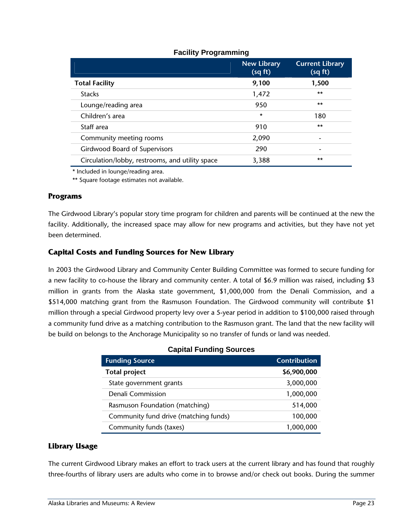|                                                 | <b>New Library</b><br>(sq ft) | <b>Current Library</b><br>(sq ft) |
|-------------------------------------------------|-------------------------------|-----------------------------------|
| <b>Total Facility</b>                           | 9,100                         | 1,500                             |
| <b>Stacks</b>                                   | 1,472                         | $***$                             |
| Lounge/reading area                             | 950                           | $***$                             |
| Children's area                                 | $\star$                       | 180                               |
| Staff area                                      | 910                           | $***$                             |
| Community meeting rooms                         | 2,090                         |                                   |
| Girdwood Board of Supervisors                   | 290                           | ۰                                 |
| Circulation/lobby, restrooms, and utility space | 3,388                         | $***$                             |

#### **Facility Programming**

\* Included in lounge/reading area.

\*\* Square footage estimates not available.

#### **Programs**

The Girdwood Library's popular story time program for children and parents will be continued at the new the facility. Additionally, the increased space may allow for new programs and activities, but they have not yet been determined.

#### **Capital Costs and Funding Sources for New Library**

In 2003 the Girdwood Library and Community Center Building Committee was formed to secure funding for a new facility to co-house the library and community center. A total of \$6.9 million was raised, including \$3 million in grants from the Alaska state government, \$1,000,000 from the Denali Commission, and a \$514,000 matching grant from the Rasmuson Foundation. The Girdwood community will contribute \$1 million through a special Girdwood property levy over a 5-year period in addition to \$100,000 raised through a community fund drive as a matching contribution to the Rasmuson grant. The land that the new facility will be build on belongs to the Anchorage Municipality so no transfer of funds or land was needed.

| <b>Funding Source</b>                 | <b>Contribution</b> |
|---------------------------------------|---------------------|
| <b>Total project</b>                  | \$6,900,000         |
| State government grants               | 3,000,000           |
| Denali Commission                     | 1,000,000           |
| Rasmuson Foundation (matching)        | 514,000             |
| Community fund drive (matching funds) | 100,000             |
| Community funds (taxes)               | 1,000,000           |

#### **Capital Funding Sources**

#### **Library Usage**

The current Girdwood Library makes an effort to track users at the current library and has found that roughly three-fourths of library users are adults who come in to browse and/or check out books. During the summer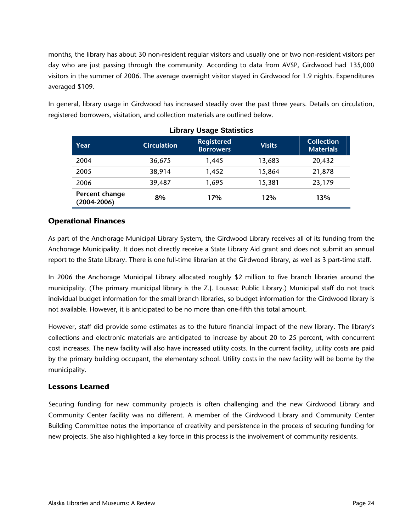months, the library has about 30 non-resident regular visitors and usually one or two non-resident visitors per day who are just passing through the community. According to data from AVSP, Girdwood had 135,000 visitors in the summer of 2006. The average overnight visitor stayed in Girdwood for 1.9 nights. Expenditures averaged \$109.

| <b>Library Usage Statistics</b>   |                    |                                       |               |                                       |
|-----------------------------------|--------------------|---------------------------------------|---------------|---------------------------------------|
| Year                              | <b>Circulation</b> | <b>Registered</b><br><b>Borrowers</b> | <b>Visits</b> | <b>Collection</b><br><b>Materials</b> |
| 2004                              | 36,675             | 1,445                                 | 13,683        | 20,432                                |
| 2005                              | 38,914             | 1.452                                 | 15,864        | 21,878                                |
| 2006                              | 39,487             | 1,695                                 | 15,381        | 23,179                                |
| Percent change<br>$(2004 - 2006)$ | 8%                 | 17%                                   | 12%           | 13%                                   |

In general, library usage in Girdwood has increased steadily over the past three years. Details on circulation, registered borrowers, visitation, and collection materials are outlined below.

#### **Operational Finances**

As part of the Anchorage Municipal Library System, the Girdwood Library receives all of its funding from the Anchorage Municipality. It does not directly receive a State Library Aid grant and does not submit an annual report to the State Library. There is one full-time librarian at the Girdwood library, as well as 3 part-time staff.

In 2006 the Anchorage Municipal Library allocated roughly \$2 million to five branch libraries around the municipality. (The primary municipal library is the Z.J. Loussac Public Library.) Municipal staff do not track individual budget information for the small branch libraries, so budget information for the Girdwood library is not available. However, it is anticipated to be no more than one-fifth this total amount.

However, staff did provide some estimates as to the future financial impact of the new library. The library's collections and electronic materials are anticipated to increase by about 20 to 25 percent, with concurrent cost increases. The new facility will also have increased utility costs. In the current facility, utility costs are paid by the primary building occupant, the elementary school. Utility costs in the new facility will be borne by the municipality.

#### **Lessons Learned**

Securing funding for new community projects is often challenging and the new Girdwood Library and Community Center facility was no different. A member of the Girdwood Library and Community Center Building Committee notes the importance of creativity and persistence in the process of securing funding for new projects. She also highlighted a key force in this process is the involvement of community residents.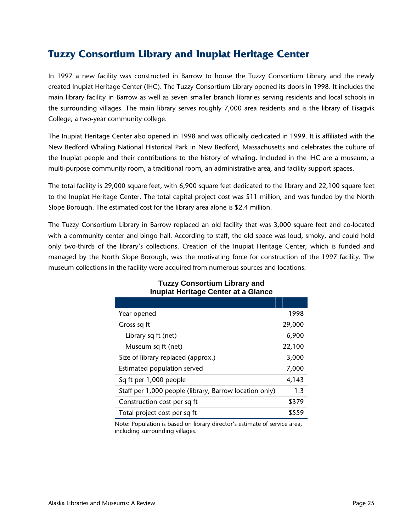## **Tuzzy Consortium Library and Inupiat Heritage Center**

In 1997 a new facility was constructed in Barrow to house the Tuzzy Consortium Library and the newly created Inupiat Heritage Center (IHC). The Tuzzy Consortium Library opened its doors in 1998. It includes the main library facility in Barrow as well as seven smaller branch libraries serving residents and local schools in the surrounding villages. The main library serves roughly 7,000 area residents and is the library of Ilisagvik College, a two-year community college.

The Inupiat Heritage Center also opened in 1998 and was officially dedicated in 1999. It is affiliated with the New Bedford Whaling National Historical Park in New Bedford, Massachusetts and celebrates the culture of the Inupiat people and their contributions to the history of whaling. Included in the IHC are a museum, a multi-purpose community room, a traditional room, an administrative area, and facility support spaces.

The total facility is 29,000 square feet, with 6,900 square feet dedicated to the library and 22,100 square feet to the Inupiat Heritage Center. The total capital project cost was \$11 million, and was funded by the North Slope Borough. The estimated cost for the library area alone is \$2.4 million.

The Tuzzy Consortium Library in Barrow replaced an old facility that was 3,000 square feet and co-located with a community center and bingo hall. According to staff, the old space was loud, smoky, and could hold only two-thirds of the library's collections. Creation of the Inupiat Heritage Center, which is funded and managed by the North Slope Borough, was the motivating force for construction of the 1997 facility. The museum collections in the facility were acquired from numerous sources and locations.

| Year opened                                            | 1998   |
|--------------------------------------------------------|--------|
| Gross sq ft                                            | 29,000 |
| Library sq ft (net)                                    | 6,900  |
| Museum sq ft (net)                                     | 22,100 |
| Size of library replaced (approx.)                     | 3,000  |
| Estimated population served                            | 7,000  |
| Sq ft per 1,000 people                                 | 4,143  |
| Staff per 1,000 people (library, Barrow location only) | 1.3    |
| Construction cost per sq ft                            | \$379  |
| Total project cost per sq ft                           | \$559  |

#### **Tuzzy Consortium Library and Inupiat Heritage Center at a Glance**

Note: Population is based on library director's estimate of service area, including surrounding villages.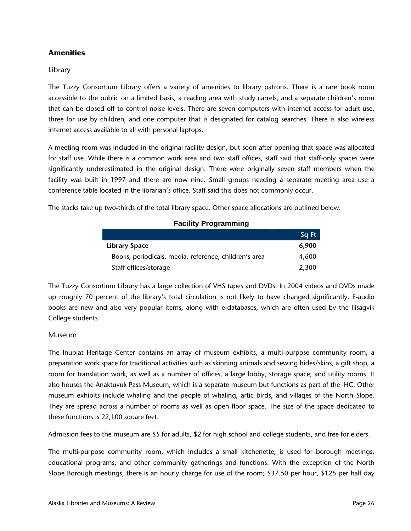#### **Amenities**

#### Library

The Tuzzy Consortium Library offers a variety of amenities to library patrons. There is a rare book room accessible to the public on a limited basis, a reading area with study carrels, and a separate children's room that can be closed off to control noise levels. There are seven computers with internet access for adult use, three for use by children, and one computer that is designated for catalog searches. There is also wireless internet access available to all with personal laptops.

A meeting room was included in the original facility design, but soon after opening that space was allocated for staff use. While there is a common work area and two staff offices, staff said that staff-only spaces were significantly underestimated in the original design. There were originally seven staff members when the facility was built in 1997 and there are now nine. Small groups needing a separate meeting area use a conference table located in the librarian's office. Staff said this does not commonly occur.

The stacks take up two-thirds of the total library space. Other space allocations are outlined below.

|                                                       | Sq Ft |
|-------------------------------------------------------|-------|
| <b>Library Space</b>                                  | 6,900 |
| Books, periodicals, media, reference, children's area | 4,600 |
| Staff offices/storage                                 | 2,300 |

#### **Facility Programming**

The Tuzzy Consortium Library has a large collection of VHS tapes and DVDs. In 2004 videos and DVDs made up roughly 70 percent of the library's total circulation is not likely to have changed significantly. E-audio books are new and also very popular items, along with e-databases, which are often used by the Ilisagvik College students.

#### Museum

The Inupiat Heritage Center contains an array of museum exhibits, a multi-purpose community room, a preparation work space for traditional activities such as skinning animals and sewing hides/skins, a gift shop, a room for translation work, as well as a number of offices, a large lobby, storage space, and utility rooms. It also houses the Anaktuvuk Pass Museum, which is a separate museum but functions as part of the IHC. Other museum exhibits include whaling and the people of whaling, artic birds, and villages of the North Slope. They are spread across a number of rooms as well as open floor space. The size of the space dedicated to these functions is 22,100 square feet.

Admission fees to the museum are \$5 for adults, \$2 for high school and college students, and free for elders.

The multi-purpose community room, which includes a small kitchenette, is used for borough meetings, educational programs, and other community gatherings and functions. With the exception of the North Slope Borough meetings, there is an hourly charge for use of the room; \$37.50 per hour, \$125 per half day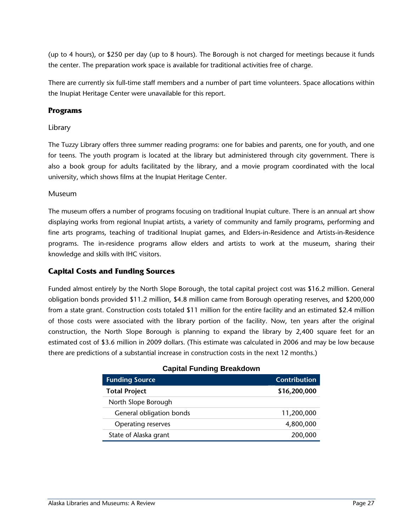(up to 4 hours), or \$250 per day (up to 8 hours). The Borough is not charged for meetings because it funds the center. The preparation work space is available for traditional activities free of charge.

There are currently six full-time staff members and a number of part time volunteers. Space allocations within the Inupiat Heritage Center were unavailable for this report.

#### **Programs**

#### Library

The Tuzzy Library offers three summer reading programs: one for babies and parents, one for youth, and one for teens. The youth program is located at the library but administered through city government. There is also a book group for adults facilitated by the library, and a movie program coordinated with the local university, which shows films at the Inupiat Heritage Center.

#### Museum

The museum offers a number of programs focusing on traditional Inupiat culture. There is an annual art show displaying works from regional Inupiat artists, a variety of community and family programs, performing and fine arts programs, teaching of traditional Inupiat games, and Elders-in-Residence and Artists-in-Residence programs. The in-residence programs allow elders and artists to work at the museum, sharing their knowledge and skills with IHC visitors.

#### **Capital Costs and Funding Sources**

Funded almost entirely by the North Slope Borough, the total capital project cost was \$16.2 million. General obligation bonds provided \$11.2 million, \$4.8 million came from Borough operating reserves, and \$200,000 from a state grant. Construction costs totaled \$11 million for the entire facility and an estimated \$2.4 million of those costs were associated with the library portion of the facility. Now, ten years after the original construction, the North Slope Borough is planning to expand the library by 2,400 square feet for an estimated cost of \$3.6 million in 2009 dollars. (This estimate was calculated in 2006 and may be low because there are predictions of a substantial increase in construction costs in the next 12 months.)

| <b>Papital Languig Divangenti</b> |                     |
|-----------------------------------|---------------------|
| <b>Funding Source</b>             | <b>Contribution</b> |
| <b>Total Project</b>              | \$16,200,000        |
| North Slope Borough               |                     |
| General obligation bonds          | 11,200,000          |
| Operating reserves                | 4,800,000           |
| State of Alaska grant             | 200,000             |

#### **Capital Funding Breakdown**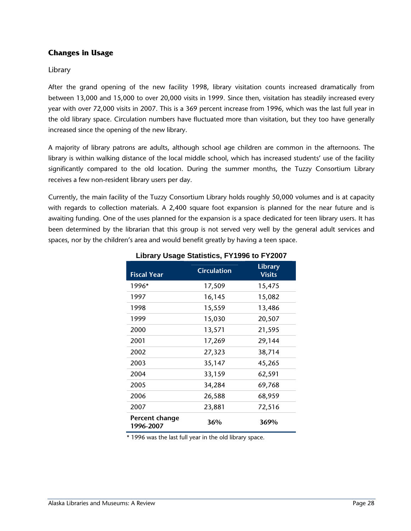#### **Changes in Usage**

#### Library

After the grand opening of the new facility 1998, library visitation counts increased dramatically from between 13,000 and 15,000 to over 20,000 visits in 1999. Since then, visitation has steadily increased every year with over 72,000 visits in 2007. This is a 369 percent increase from 1996, which was the last full year in the old library space. Circulation numbers have fluctuated more than visitation, but they too have generally increased since the opening of the new library.

A majority of library patrons are adults, although school age children are common in the afternoons. The library is within walking distance of the local middle school, which has increased students' use of the facility significantly compared to the old location. During the summer months, the Tuzzy Consortium Library receives a few non-resident library users per day.

Currently, the main facility of the Tuzzy Consortium Library holds roughly 50,000 volumes and is at capacity with regards to collection materials. A 2,400 square foot expansion is planned for the near future and is awaiting funding. One of the uses planned for the expansion is a space dedicated for teen library users. It has been determined by the librarian that this group is not served very well by the general adult services and spaces, nor by the children's area and would benefit greatly by having a teen space.

| <b>Fiscal Year</b>          | <b>Circulation</b> | <b>Library</b><br><b>Visits</b> |
|-----------------------------|--------------------|---------------------------------|
| 1996*                       | 17,509             | 15,475                          |
| 1997                        | 16,145             | 15,082                          |
| 1998                        | 15,559             | 13,486                          |
| 1999                        | 15,030             | 20,507                          |
| 2000                        | 13,571             | 21,595                          |
| 2001                        | 17,269             | 29,144                          |
| 2002                        | 27,323             | 38,714                          |
| 2003                        | 35,147             | 45,265                          |
| 2004                        | 33,159             | 62,591                          |
| 2005                        | 34,284             | 69,768                          |
| 2006                        | 26,588             | 68,959                          |
| 2007                        | 23,881             | 72,516                          |
| Percent change<br>1996-2007 | 36%                | 369%                            |

#### **Library Usage Statistics, FY1996 to FY2007**

\* 1996 was the last full year in the old library space.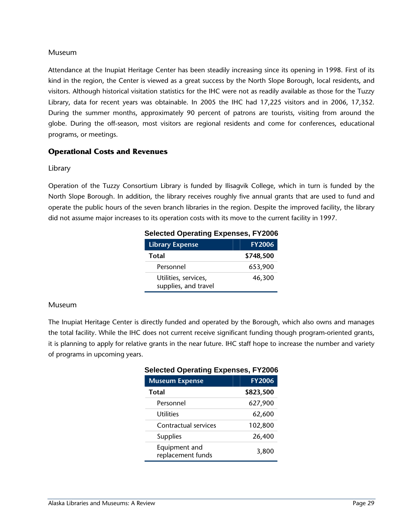#### Museum

Attendance at the Inupiat Heritage Center has been steadily increasing since its opening in 1998. First of its kind in the region, the Center is viewed as a great success by the North Slope Borough, local residents, and visitors. Although historical visitation statistics for the IHC were not as readily available as those for the Tuzzy Library, data for recent years was obtainable. In 2005 the IHC had 17,225 visitors and in 2006, 17,352. During the summer months, approximately 90 percent of patrons are tourists, visiting from around the globe. During the off-season, most visitors are regional residents and come for conferences, educational programs, or meetings.

#### **Operational Costs and Revenues**

#### Library

Operation of the Tuzzy Consortium Library is funded by Ilisagvik College, which in turn is funded by the North Slope Borough. In addition, the library receives roughly five annual grants that are used to fund and operate the public hours of the seven branch libraries in the region. Despite the improved facility, the library did not assume major increases to its operation costs with its move to the current facility in 1997.

| <b>Selected Operating Expenses, FY2006</b>   |               |  |
|----------------------------------------------|---------------|--|
| <b>Library Expense</b>                       | <b>FY2006</b> |  |
| Total                                        | \$748,500     |  |
| Personnel                                    | 653,900       |  |
| Utilities, services,<br>supplies, and travel | 46,300        |  |

#### **Museum**

The Inupiat Heritage Center is directly funded and operated by the Borough, which also owns and manages the total facility. While the IHC does not current receive significant funding though program-oriented grants, it is planning to apply for relative grants in the near future. IHC staff hope to increase the number and variety of programs in upcoming years.

| <b>Selected Operating Expenses, FY2006</b> |               |  |
|--------------------------------------------|---------------|--|
| <b>Museum Expense</b>                      | <b>FY2006</b> |  |
| Total                                      | \$823,500     |  |
| Personnel                                  | 627,900       |  |
| Utilities                                  | 62,600        |  |
| Contractual services                       | 102,800       |  |
| <b>Supplies</b>                            | 26,400        |  |
| Equipment and<br>replacement funds         | 3,800         |  |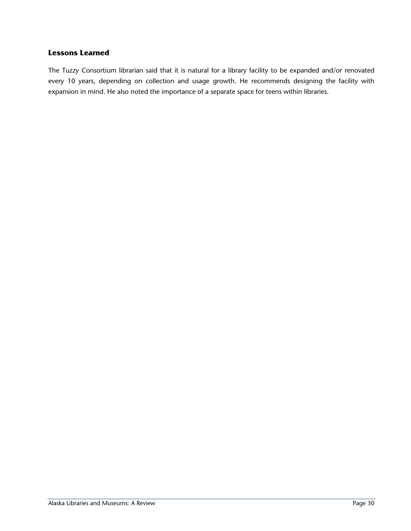#### **Lessons Learned**

The Tuzzy Consortium librarian said that it is natural for a library facility to be expanded and/or renovated every 10 years, depending on collection and usage growth. He recommends designing the facility with expansion in mind. He also noted the importance of a separate space for teens within libraries.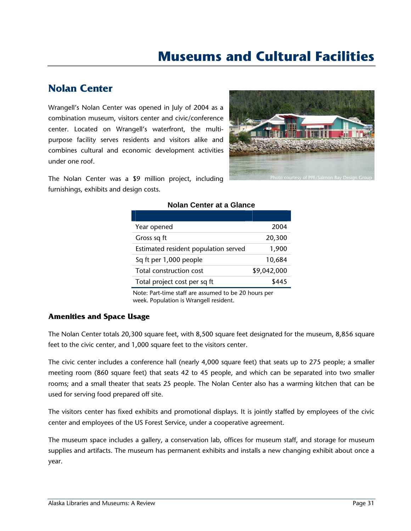## **Museums and Cultural Facilities**

## **Nolan Center**

Wrangell's Nolan Center was opened in July of 2004 as a combination museum, visitors center and civic/conference center. Located on Wrangell's waterfront, the multipurpose facility serves residents and visitors alike and combines cultural and economic development activities under one roof.



The Nolan Center was a \$9 million project, including furnishings, exhibits and design costs.

#### **Nolan Center at a Glance**

| Year opened                          | 2004        |
|--------------------------------------|-------------|
| Gross sq ft                          | 20,300      |
| Estimated resident population served | 1,900       |
| Sq ft per 1,000 people               | 10,684      |
| Total construction cost              | \$9,042,000 |
| Total project cost per sq ft         |             |

Note: Part-time staff are assumed to be 20 hours per week. Population is Wrangell resident.

#### **Amenities and Space Usage**

The Nolan Center totals 20,300 square feet, with 8,500 square feet designated for the museum, 8,856 square feet to the civic center, and 1,000 square feet to the visitors center.

The civic center includes a conference hall (nearly 4,000 square feet) that seats up to 275 people; a smaller meeting room (860 square feet) that seats 42 to 45 people, and which can be separated into two smaller rooms; and a small theater that seats 25 people. The Nolan Center also has a warming kitchen that can be used for serving food prepared off site.

The visitors center has fixed exhibits and promotional displays. It is jointly staffed by employees of the civic center and employees of the US Forest Service, under a cooperative agreement.

The museum space includes a gallery, a conservation lab, offices for museum staff, and storage for museum supplies and artifacts. The museum has permanent exhibits and installs a new changing exhibit about once a year.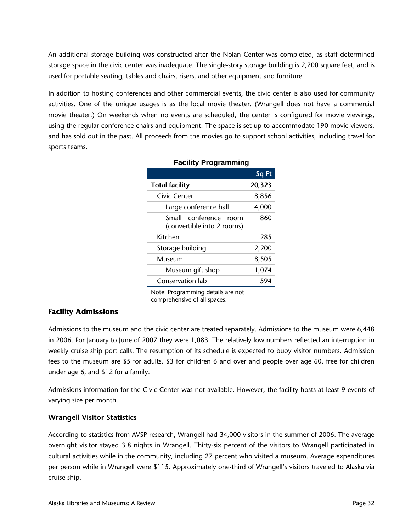An additional storage building was constructed after the Nolan Center was completed, as staff determined storage space in the civic center was inadequate. The single-story storage building is 2,200 square feet, and is used for portable seating, tables and chairs, risers, and other equipment and furniture.

In addition to hosting conferences and other commercial events, the civic center is also used for community activities. One of the unique usages is as the local movie theater. (Wrangell does not have a commercial movie theater.) On weekends when no events are scheduled, the center is configured for movie viewings, using the regular conference chairs and equipment. The space is set up to accommodate 190 movie viewers, and has sold out in the past. All proceeds from the movies go to support school activities, including travel for sports teams.

|                                                           | Sq Ft  |
|-----------------------------------------------------------|--------|
| <b>Total facility</b>                                     | 20,323 |
| Civic Center                                              | 8,856  |
| Large conference hall                                     | 4,000  |
| conference<br>Small<br>room<br>(convertible into 2 rooms) | 860    |
| Kitchen                                                   | 285    |
| Storage building                                          | 2,200  |
| Museum                                                    | 8,505  |
| Museum gift shop                                          | 1,074  |
| Conservation lab                                          | 594    |

#### **Facility Programming**

Note: Programming details are not comprehensive of all spaces.

#### **Facility Admissions**

Admissions to the museum and the civic center are treated separately. Admissions to the museum were 6,448 in 2006. For January to June of 2007 they were 1,083. The relatively low numbers reflected an interruption in weekly cruise ship port calls. The resumption of its schedule is expected to buoy visitor numbers. Admission fees to the museum are \$5 for adults, \$3 for children 6 and over and people over age 60, free for children under age 6, and \$12 for a family.

Admissions information for the Civic Center was not available. However, the facility hosts at least 9 events of varying size per month.

#### **Wrangell Visitor Statistics**

According to statistics from AVSP research, Wrangell had 34,000 visitors in the summer of 2006. The average overnight visitor stayed 3.8 nights in Wrangell. Thirty-six percent of the visitors to Wrangell participated in cultural activities while in the community, including 27 percent who visited a museum. Average expenditures per person while in Wrangell were \$115. Approximately one-third of Wrangell's visitors traveled to Alaska via cruise ship.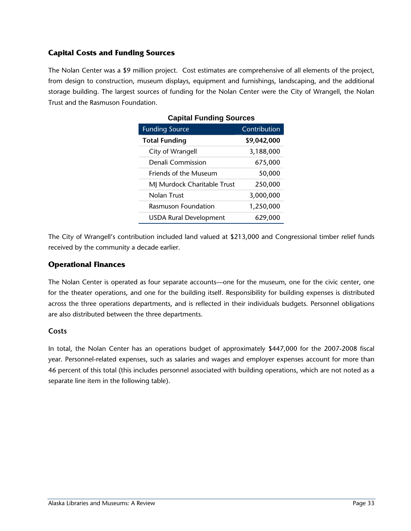#### **Capital Costs and Funding Sources**

The Nolan Center was a \$9 million project. Cost estimates are comprehensive of all elements of the project, from design to construction, museum displays, equipment and furnishings, landscaping, and the additional storage building. The largest sources of funding for the Nolan Center were the City of Wrangell, the Nolan Trust and the Rasmuson Foundation.

| Capital Funding Sources       |              |  |
|-------------------------------|--------------|--|
| <b>Funding Source</b>         | Contribution |  |
| <b>Total Funding</b>          | \$9,042,000  |  |
| City of Wrangell              | 3,188,000    |  |
| Denali Commission             | 675,000      |  |
| Friends of the Museum         | 50,000       |  |
| MJ Murdock Charitable Trust   | 250,000      |  |
| Nolan Trust                   | 3,000,000    |  |
| <b>Rasmuson Foundation</b>    | 1,250,000    |  |
| <b>USDA Rural Development</b> | 629,000      |  |

#### **Capital Funding Sources**

The City of Wrangell's contribution included land valued at \$213,000 and Congressional timber relief funds received by the community a decade earlier.

#### **Operational Finances**

The Nolan Center is operated as four separate accounts—one for the museum, one for the civic center, one for the theater operations, and one for the building itself. Responsibility for building expenses is distributed across the three operations departments, and is reflected in their individuals budgets. Personnel obligations are also distributed between the three departments.

#### **Costs**

In total, the Nolan Center has an operations budget of approximately \$447,000 for the 2007-2008 fiscal year. Personnel-related expenses, such as salaries and wages and employer expenses account for more than 46 percent of this total (this includes personnel associated with building operations, which are not noted as a separate line item in the following table).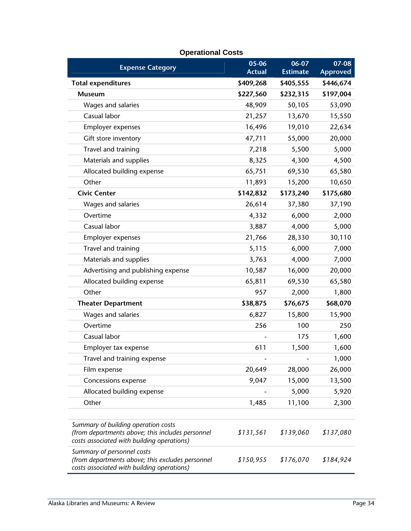| <b>Expense Category</b>                                                                                                               | 05-06<br><b>Actual</b> | 06-07<br><b>Estimate</b> | 07-08<br><b>Approved</b> |
|---------------------------------------------------------------------------------------------------------------------------------------|------------------------|--------------------------|--------------------------|
| <b>Total expenditures</b>                                                                                                             | \$409,268              | \$405,555                | \$446,674                |
| <b>Museum</b>                                                                                                                         | \$227,560              | \$232,315                | \$197,004                |
| Wages and salaries                                                                                                                    | 48,909                 | 50,105                   | 53,090                   |
| Casual labor                                                                                                                          | 21,257                 | 13,670                   | 15,550                   |
| Employer expenses                                                                                                                     | 16,496                 | 19,010                   | 22,634                   |
| Gift store inventory                                                                                                                  | 47,711                 | 55,000                   | 20,000                   |
| Travel and training                                                                                                                   | 7,218                  | 5,500                    | 5,000                    |
| Materials and supplies                                                                                                                | 8,325                  | 4,300                    | 4,500                    |
| Allocated building expense                                                                                                            | 65,751                 | 69,530                   | 65,580                   |
| Other                                                                                                                                 | 11,893                 | 15,200                   | 10,650                   |
| <b>Civic Center</b>                                                                                                                   | \$142,832              | \$173,240                | \$175,680                |
| Wages and salaries                                                                                                                    | 26,614                 | 37,380                   | 37,190                   |
| Overtime                                                                                                                              | 4,332                  | 6,000                    | 2,000                    |
| Casual labor                                                                                                                          | 3,887                  | 4,000                    | 5,000                    |
| Employer expenses                                                                                                                     | 21,766                 | 28,330                   | 30,110                   |
| Travel and training                                                                                                                   | 5,115                  | 6,000                    | 7,000                    |
| Materials and supplies                                                                                                                | 3,763                  | 4,000                    | 7,000                    |
| Advertising and publishing expense                                                                                                    | 10,587                 | 16,000                   | 20,000                   |
| Allocated building expense                                                                                                            | 65,811                 | 69,530                   | 65,580                   |
| Other                                                                                                                                 | 957                    | 2,000                    | 1,800                    |
| <b>Theater Department</b>                                                                                                             | \$38,875               | \$76,675                 | \$68,070                 |
| Wages and salaries                                                                                                                    | 6,827                  | 15,800                   | 15,900                   |
| Overtime                                                                                                                              | 256                    | 100                      | 250                      |
| Casual labor                                                                                                                          |                        | 175                      | 1,600                    |
| Employer tax expense                                                                                                                  | 611                    | 1,500                    | 1,600                    |
| Travel and training expense                                                                                                           |                        |                          | 1,000                    |
| Film expense                                                                                                                          | 20,649                 | 28,000                   | 26,000                   |
| Concessions expense                                                                                                                   | 9,047                  | 15,000                   | 13,500                   |
| Allocated building expense                                                                                                            |                        | 5,000                    | 5,920                    |
| Other                                                                                                                                 | 1,485                  | 11,100                   | 2,300                    |
|                                                                                                                                       |                        |                          |                          |
| Summary of building operation costs<br>(from departments above; this includes personnel<br>costs associated with building operations) | \$131,561              | \$139,060                | \$137,080                |
| Summary of personnel costs<br>(from departments above; this excludes personnel<br>costs associated with building operations)          | \$150,955              | \$176,070                | \$184,924                |

#### **Operational Costs**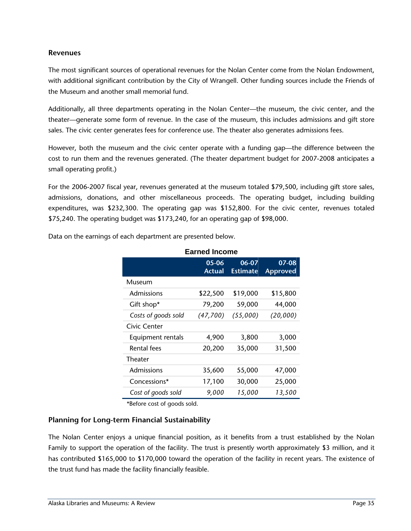#### **Revenues**

The most significant sources of operational revenues for the Nolan Center come from the Nolan Endowment, with additional significant contribution by the City of Wrangell. Other funding sources include the Friends of the Museum and another small memorial fund.

Additionally, all three departments operating in the Nolan Center—the museum, the civic center, and the theater—generate some form of revenue. In the case of the museum, this includes admissions and gift store sales. The civic center generates fees for conference use. The theater also generates admissions fees.

However, both the museum and the civic center operate with a funding gap—the difference between the cost to run them and the revenues generated. (The theater department budget for 2007-2008 anticipates a small operating profit.)

For the 2006-2007 fiscal year, revenues generated at the museum totaled \$79,500, including gift store sales, admissions, donations, and other miscellaneous proceeds. The operating budget, including building expenditures, was \$232,300. The operating gap was \$152,800. For the civic center, revenues totaled \$75,240. The operating budget was \$173,240, for an operating gap of \$98,000.

**Earned Income** 

|                     | 05-06<br><b>Actual</b> | 06-07<br><b>Estimate</b> | 07-08<br><b>Approved</b> |
|---------------------|------------------------|--------------------------|--------------------------|
| Museum              |                        |                          |                          |
| Admissions          | \$22,500               | \$19,000                 | \$15,800                 |
| Gift shop*          | 79,200                 | 59,000                   | 44,000                   |
| Costs of goods sold | (47,700)               | (55,000)                 | (20,000)                 |
| Civic Center        |                        |                          |                          |
| Equipment rentals   | 4,900                  | 3,800                    | 3,000                    |
| <b>Rental fees</b>  | 20,200                 | 35,000                   | 31,500                   |
| <b>Theater</b>      |                        |                          |                          |
| Admissions          | 35,600                 | 55,000                   | 47,000                   |
| Concessions*        | 17,100                 | 30,000                   | 25,000                   |
| Cost of goods sold  | 9,000                  | 15,000                   | 13,500                   |

Data on the earnings of each department are presented below.

\*Before cost of goods sold.

#### **Planning for Long-term Financial Sustainability**

The Nolan Center enjoys a unique financial position, as it benefits from a trust established by the Nolan Family to support the operation of the facility. The trust is presently worth approximately \$3 million, and it has contributed \$165,000 to \$170,000 toward the operation of the facility in recent years. The existence of the trust fund has made the facility financially feasible.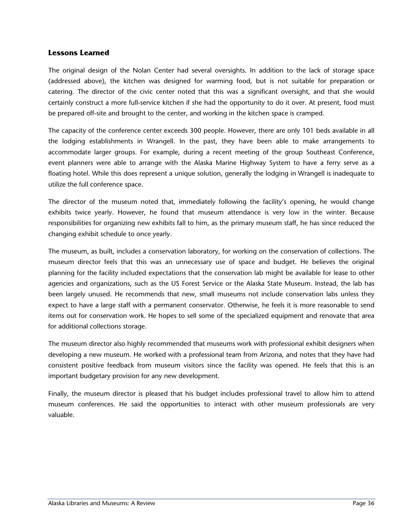#### **Lessons Learned**

The original design of the Nolan Center had several oversights. In addition to the lack of storage space (addressed above), the kitchen was designed for warming food, but is not suitable for preparation or catering. The director of the civic center noted that this was a significant oversight, and that she would certainly construct a more full-service kitchen if she had the opportunity to do it over. At present, food must be prepared off-site and brought to the center, and working in the kitchen space is cramped.

The capacity of the conference center exceeds 300 people. However, there are only 101 beds available in all the lodging establishments in Wrangell. In the past, they have been able to make arrangements to accommodate larger groups. For example, during a recent meeting of the group Southeast Conference, event planners were able to arrange with the Alaska Marine Highway System to have a ferry serve as a floating hotel. While this does represent a unique solution, generally the lodging in Wrangell is inadequate to utilize the full conference space.

The director of the museum noted that, immediately following the facility's opening, he would change exhibits twice yearly. However, he found that museum attendance is very low in the winter. Because responsibilities for organizing new exhibits fall to him, as the primary museum staff, he has since reduced the changing exhibit schedule to once yearly.

The museum, as built, includes a conservation laboratory, for working on the conservation of collections. The museum director feels that this was an unnecessary use of space and budget. He believes the original planning for the facility included expectations that the conservation lab might be available for lease to other agencies and organizations, such as the US Forest Service or the Alaska State Museum. Instead, the lab has been largely unused. He recommends that new, small museums not include conservation labs unless they expect to have a large staff with a permanent conservator. Otherwise, he feels it is more reasonable to send items out for conservation work. He hopes to sell some of the specialized equipment and renovate that area for additional collections storage.

The museum director also highly recommended that museums work with professional exhibit designers when developing a new museum. He worked with a professional team from Arizona, and notes that they have had consistent positive feedback from museum visitors since the facility was opened. He feels that this is an important budgetary provision for any new development.

Finally, the museum director is pleased that his budget includes professional travel to allow him to attend museum conferences. He said the opportunities to interact with other museum professionals are very valuable.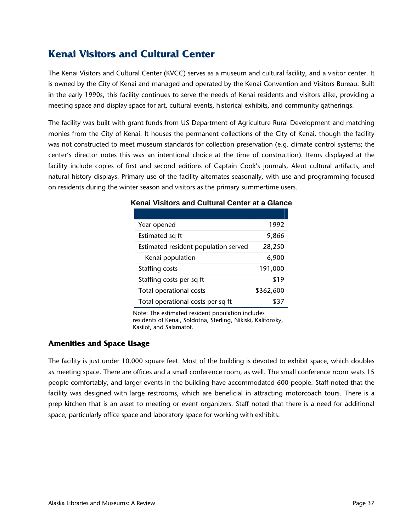## **Kenai Visitors and Cultural Center**

The Kenai Visitors and Cultural Center (KVCC) serves as a museum and cultural facility, and a visitor center. It is owned by the City of Kenai and managed and operated by the Kenai Convention and Visitors Bureau. Built in the early 1990s, this facility continues to serve the needs of Kenai residents and visitors alike, providing a meeting space and display space for art, cultural events, historical exhibits, and community gatherings.

The facility was built with grant funds from US Department of Agriculture Rural Development and matching monies from the City of Kenai. It houses the permanent collections of the City of Kenai, though the facility was not constructed to meet museum standards for collection preservation (e.g. climate control systems; the center's director notes this was an intentional choice at the time of construction). Items displayed at the facility include copies of first and second editions of Captain Cook's journals, Aleut cultural artifacts, and natural history displays. Primary use of the facility alternates seasonally, with use and programming focused on residents during the winter season and visitors as the primary summertime users.

| Year opened                          | 1992      |
|--------------------------------------|-----------|
| Estimated sq ft                      | 9,866     |
| Estimated resident population served | 28,250    |
| Kenai population                     | 6,900     |
| Staffing costs                       | 191,000   |
| Staffing costs per sq ft             | \$19      |
| Total operational costs              | \$362,600 |
| Total operational costs per sq ft    | ያ 37      |

#### **Kenai Visitors and Cultural Center at a Glance**

Note: The estimated resident population includes residents of Kenai, Soldotna, Sterling, Nikiski, Kalifonsky, Kasilof, and Salamatof.

#### **Amenities and Space Usage**

The facility is just under 10,000 square feet. Most of the building is devoted to exhibit space, which doubles as meeting space. There are offices and a small conference room, as well. The small conference room seats 15 people comfortably, and larger events in the building have accommodated 600 people. Staff noted that the facility was designed with large restrooms, which are beneficial in attracting motorcoach tours. There is a prep kitchen that is an asset to meeting or event organizers. Staff noted that there is a need for additional space, particularly office space and laboratory space for working with exhibits.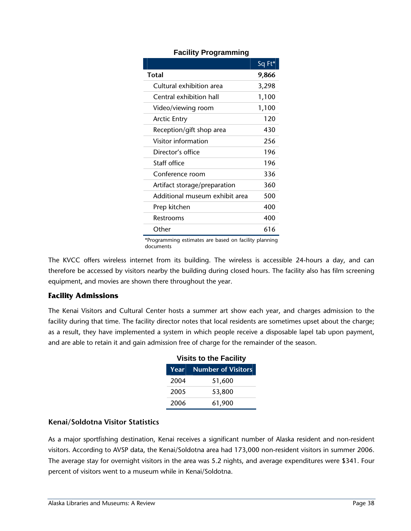|                                | Sq Ft* |
|--------------------------------|--------|
| Total                          | 9,866  |
| Cultural exhibition area       | 3,298  |
| Central exhibition hall        | 1,100  |
| Video/viewing room             | 1,100  |
| <b>Arctic Entry</b>            | 120    |
| Reception/gift shop area       | 430    |
| Visitor information            | 256    |
| Director's office              | 196    |
| Staff office                   | 196    |
| Conference room                | 336    |
| Artifact storage/preparation   | 360    |
| Additional museum exhibit area | 500    |
| Prep kitchen                   | 400    |
| Restrooms                      | 400    |
| Other                          | 616    |

#### **Facility Programming**

\*Programming estimates are based on facility planning documents

The KVCC offers wireless internet from its building. The wireless is accessible 24-hours a day, and can therefore be accessed by visitors nearby the building during closed hours. The facility also has film screening equipment, and movies are shown there throughout the year.

#### **Facility Admissions**

The Kenai Visitors and Cultural Center hosts a summer art show each year, and charges admission to the facility during that time. The facility director notes that local residents are sometimes upset about the charge; as a result, they have implemented a system in which people receive a disposable lapel tab upon payment, and are able to retain it and gain admission free of charge for the remainder of the season.

| <b>Visits to the Facility</b> |                                |  |
|-------------------------------|--------------------------------|--|
|                               | <b>Year</b> Number of Visitors |  |
| 2004                          | 51,600                         |  |
| 2005                          | 53,800                         |  |
| 2006                          | 61,900                         |  |

#### **Kenai/Soldotna Visitor Statistics**

As a major sportfishing destination, Kenai receives a significant number of Alaska resident and non-resident visitors. According to AVSP data, the Kenai/Soldotna area had 173,000 non-resident visitors in summer 2006. The average stay for overnight visitors in the area was 5.2 nights, and average expenditures were \$341. Four percent of visitors went to a museum while in Kenai/Soldotna.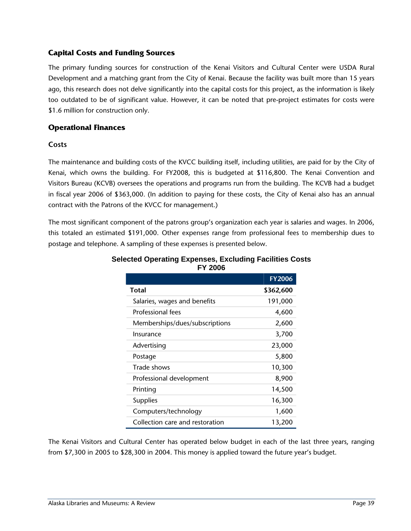#### **Capital Costs and Funding Sources**

The primary funding sources for construction of the Kenai Visitors and Cultural Center were USDA Rural Development and a matching grant from the City of Kenai. Because the facility was built more than 15 years ago, this research does not delve significantly into the capital costs for this project, as the information is likely too outdated to be of significant value. However, it can be noted that pre-project estimates for costs were \$1.6 million for construction only.

#### **Operational Finances**

#### **Costs**

The maintenance and building costs of the KVCC building itself, including utilities, are paid for by the City of Kenai, which owns the building. For FY2008, this is budgeted at \$116,800. The Kenai Convention and Visitors Bureau (KCVB) oversees the operations and programs run from the building. The KCVB had a budget in fiscal year 2006 of \$363,000. (In addition to paying for these costs, the City of Kenai also has an annual contract with the Patrons of the KVCC for management.)

The most significant component of the patrons group's organization each year is salaries and wages. In 2006, this totaled an estimated \$191,000. Other expenses range from professional fees to membership dues to postage and telephone. A sampling of these expenses is presented below.

|                                 | <b>FY2006</b> |
|---------------------------------|---------------|
| <b>Total</b>                    | \$362,600     |
| Salaries, wages and benefits    | 191,000       |
| Professional fees               | 4,600         |
| Memberships/dues/subscriptions  | 2,600         |
| Insurance                       | 3,700         |
| Advertising                     | 23,000        |
| Postage                         | 5,800         |
| Trade shows                     | 10,300        |
| Professional development        | 8,900         |
| Printing                        | 14,500        |
| <b>Supplies</b>                 | 16,300        |
| Computers/technology            | 1,600         |
| Collection care and restoration | 13,200        |

#### **Selected Operating Expenses, Excluding Facilities Costs FY 2006**

The Kenai Visitors and Cultural Center has operated below budget in each of the last three years, ranging from \$7,300 in 2005 to \$28,300 in 2004. This money is applied toward the future year's budget.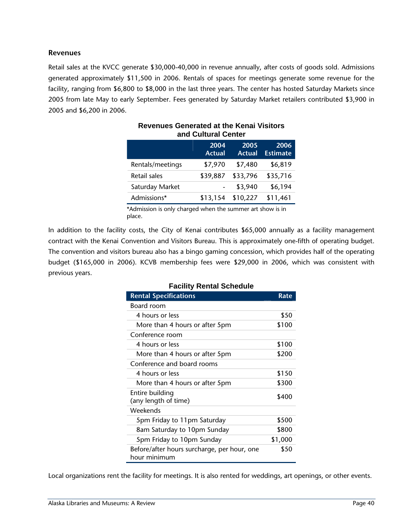#### **Revenues**

Retail sales at the KVCC generate \$30,000-40,000 in revenue annually, after costs of goods sold. Admissions generated approximately \$11,500 in 2006. Rentals of spaces for meetings generate some revenue for the facility, ranging from \$6,800 to \$8,000 in the last three years. The center has hosted Saturday Markets since 2005 from late May to early September. Fees generated by Saturday Market retailers contributed \$3,900 in 2005 and \$6,200 in 2006.

| and Vandran Vench |                       |                       |                         |
|-------------------|-----------------------|-----------------------|-------------------------|
|                   | 2004<br><b>Actual</b> | 2005<br><b>Actual</b> | 2006<br><b>Estimate</b> |
| Rentals/meetings  | \$7,970               | \$7,480               | \$6,819                 |
| Retail sales      | \$39,887              | \$33,796              | \$35,716                |
| Saturday Market   |                       | \$3,940               | \$6,194                 |
| Admissions*       | \$13,154              | \$10,227              | \$11,461                |

#### **Revenues Generated at the Kenai Visitors and Cultural Center**

\*Admission is only charged when the summer art show is in place.

In addition to the facility costs, the City of Kenai contributes \$65,000 annually as a facility management contract with the Kenai Convention and Visitors Bureau. This is approximately one-fifth of operating budget. The convention and visitors bureau also has a bingo gaming concession, which provides half of the operating budget (\$165,000 in 2006). KCVB membership fees were \$29,000 in 2006, which was consistent with previous years.

| <b>Facility Rental Schedule</b>                             |         |  |
|-------------------------------------------------------------|---------|--|
| <b>Rental Specifications</b>                                | Rate    |  |
| Board room                                                  |         |  |
| 4 hours or less                                             | \$50    |  |
| More than 4 hours or after 5pm                              | \$100   |  |
| Conference room                                             |         |  |
| 4 hours or less                                             | \$100   |  |
| More than 4 hours or after 5pm                              | \$200   |  |
| Conference and board rooms                                  |         |  |
| 4 hours or less                                             | \$150   |  |
| More than 4 hours or after 5pm                              | \$300   |  |
| Entire building<br>(any length of time)                     | \$400   |  |
| Weekends                                                    |         |  |
| 5pm Friday to 11pm Saturday                                 | \$500   |  |
| 8am Saturday to 10pm Sunday                                 | \$800   |  |
| 5pm Friday to 10pm Sunday                                   | \$1,000 |  |
| Before/after hours surcharge, per hour, one<br>hour minimum | \$50    |  |

#### **Facility Rental Schedule**

Local organizations rent the facility for meetings. It is also rented for weddings, art openings, or other events.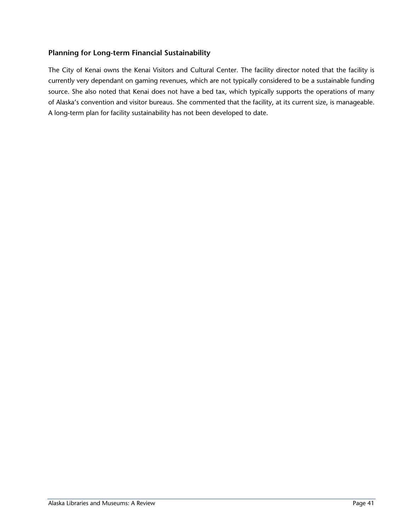#### **Planning for Long-term Financial Sustainability**

The City of Kenai owns the Kenai Visitors and Cultural Center. The facility director noted that the facility is currently very dependant on gaming revenues, which are not typically considered to be a sustainable funding source. She also noted that Kenai does not have a bed tax, which typically supports the operations of many of Alaska's convention and visitor bureaus. She commented that the facility, at its current size, is manageable. A long-term plan for facility sustainability has not been developed to date.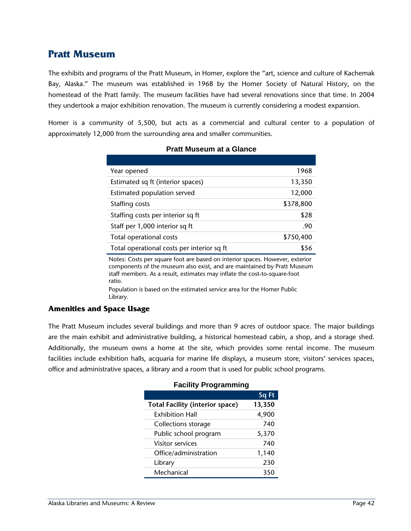### **Pratt Museum**

The exhibits and programs of the Pratt Museum, in Homer, explore the "art, science and culture of Kachemak Bay, Alaska." The museum was established in 1968 by the Homer Society of Natural History, on the homestead of the Pratt family. The museum facilities have had several renovations since that time. In 2004 they undertook a major exhibition renovation. The museum is currently considering a modest expansion.

Homer is a community of 5,500, but acts as a commercial and cultural center to a population of approximately 12,000 from the surrounding area and smaller communities.

| Year opened                                | 1968      |
|--------------------------------------------|-----------|
| Estimated sq ft (interior spaces)          | 13,350    |
| Estimated population served                | 12,000    |
| Staffing costs                             | \$378,800 |
| Staffing costs per interior sq ft          | \$28      |
| Staff per 1,000 interior sq ft             | .90       |
| Total operational costs                    | \$750,400 |
| Total operational costs per interior sq ft | \$56      |

#### **Pratt Museum at a Glance**

Notes: Costs per square foot are based on interior spaces. However, exterior components of the museum also exist, and are maintained by Pratt Museum staff members. As a result, estimates may inflate the cost-to-square-foot ratio.

Population is based on the estimated service area for the Homer Public Library.

#### **Amenities and Space Usage**

The Pratt Museum includes several buildings and more than 9 acres of outdoor space. The major buildings are the main exhibit and administrative building, a historical homestead cabin, a shop, and a storage shed. Additionally, the museum owns a home at the site, which provides some rental income. The museum facilities include exhibition halls, acquaria for marine life displays, a museum store, visitors' services spaces, office and administrative spaces, a library and a room that is used for public school programs.

|                                        | Sq Ft  |
|----------------------------------------|--------|
| <b>Total Facility (interior space)</b> | 13,350 |
| <b>Exhibition Hall</b>                 | 4,900  |
| Collections storage                    | 740    |
| Public school program                  | 5,370  |
| <b>Visitor services</b>                | 740    |
| Office/administration                  | 1,140  |
| Library                                | 230    |
| Mechanical                             | 350    |

#### **Facility Programming**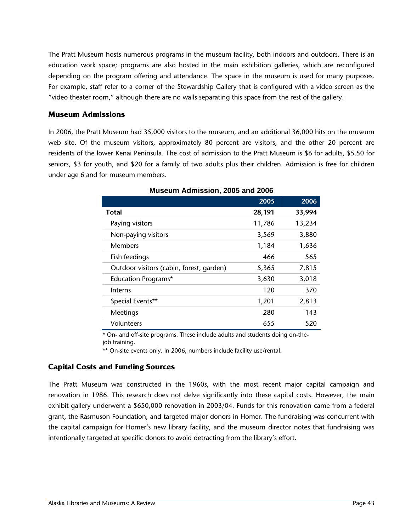The Pratt Museum hosts numerous programs in the museum facility, both indoors and outdoors. There is an education work space; programs are also hosted in the main exhibition galleries, which are reconfigured depending on the program offering and attendance. The space in the museum is used for many purposes. For example, staff refer to a corner of the Stewardship Gallery that is configured with a video screen as the "video theater room," although there are no walls separating this space from the rest of the gallery.

#### **Museum Admissions**

In 2006, the Pratt Museum had 35,000 visitors to the museum, and an additional 36,000 hits on the museum web site. Of the museum visitors, approximately 80 percent are visitors, and the other 20 percent are residents of the lower Kenai Peninsula. The cost of admission to the Pratt Museum is \$6 for adults, \$5.50 for seniors, \$3 for youth, and \$20 for a family of two adults plus their children. Admission is free for children under age 6 and for museum members.

|                                          | 2005   | 2006   |  |
|------------------------------------------|--------|--------|--|
| <b>Total</b>                             | 28,191 | 33,994 |  |
| Paying visitors                          | 11,786 | 13,234 |  |
| Non-paying visitors                      | 3,569  | 3,880  |  |
| <b>Members</b>                           | 1,184  | 1,636  |  |
| Fish feedings                            | 466    | 565    |  |
| Outdoor visitors (cabin, forest, garden) | 5,365  | 7,815  |  |
| <b>Education Programs*</b>               | 3,630  | 3,018  |  |
| Interns                                  | 120    | 370    |  |
| Special Events**                         | 1,201  | 2,813  |  |
| Meetings                                 | 280    | 143    |  |
| Volunteers                               | 655    | 520    |  |

**Museum Admission, 2005 and 2006** 

\* On- and off-site programs. These include adults and students doing on-thejob training.

\*\* On-site events only. In 2006, numbers include facility use/rental.

#### **Capital Costs and Funding Sources**

The Pratt Museum was constructed in the 1960s, with the most recent major capital campaign and renovation in 1986. This research does not delve significantly into these capital costs. However, the main exhibit gallery underwent a \$650,000 renovation in 2003/04. Funds for this renovation came from a federal grant, the Rasmuson Foundation, and targeted major donors in Homer. The fundraising was concurrent with the capital campaign for Homer's new library facility, and the museum director notes that fundraising was intentionally targeted at specific donors to avoid detracting from the library's effort.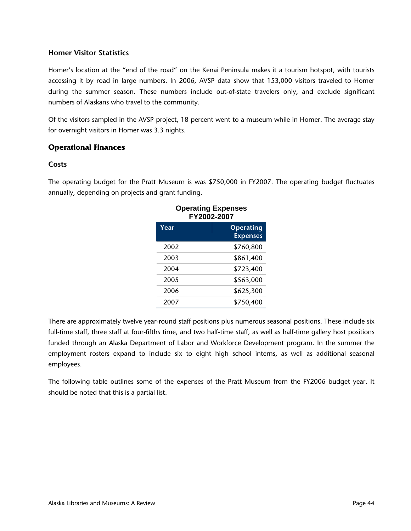#### **Homer Visitor Statistics**

Homer's location at the "end of the road" on the Kenai Peninsula makes it a tourism hotspot, with tourists accessing it by road in large numbers. In 2006, AVSP data show that 153,000 visitors traveled to Homer during the summer season. These numbers include out-of-state travelers only, and exclude significant numbers of Alaskans who travel to the community.

Of the visitors sampled in the AVSP project, 18 percent went to a museum while in Homer. The average stay for overnight visitors in Homer was 3.3 nights.

#### **Operational Finances**

#### **Costs**

The operating budget for the Pratt Museum is was \$750,000 in FY2007. The operating budget fluctuates annually, depending on projects and grant funding.

| oporamiy maponovo<br>FY2002-2007 |                                     |
|----------------------------------|-------------------------------------|
| Year                             | <b>Operating</b><br><b>Expenses</b> |
| 2002                             | \$760,800                           |
| 2003                             | \$861,400                           |
| 2004                             | \$723,400                           |
| 2005                             | \$563,000                           |
| 2006                             | \$625,300                           |
| 2007                             | \$750,400                           |

# **Operating Expenses**

There are approximately twelve year-round staff positions plus numerous seasonal positions. These include six full-time staff, three staff at four-fifths time, and two half-time staff, as well as half-time gallery host positions funded through an Alaska Department of Labor and Workforce Development program. In the summer the employment rosters expand to include six to eight high school interns, as well as additional seasonal employees.

The following table outlines some of the expenses of the Pratt Museum from the FY2006 budget year. It should be noted that this is a partial list.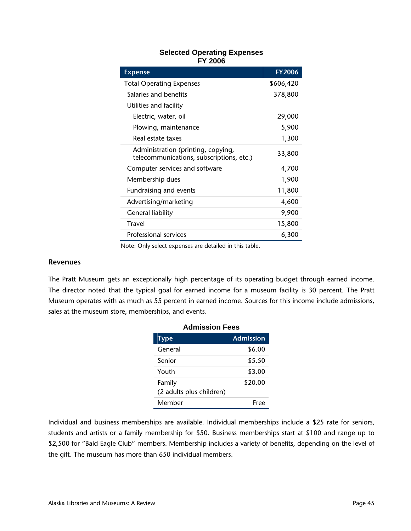#### **Selected Operating Expenses FY 2006**

| <b>Expense</b>                                                                 | <b>FY2006</b> |
|--------------------------------------------------------------------------------|---------------|
| <b>Total Operating Expenses</b>                                                | \$606,420     |
| Salaries and benefits                                                          | 378,800       |
| Utilities and facility                                                         |               |
| Electric, water, oil                                                           | 29,000        |
| Plowing, maintenance                                                           | 5,900         |
| Real estate taxes                                                              | 1,300         |
| Administration (printing, copying,<br>telecommunications, subscriptions, etc.) | 33,800        |
| Computer services and software                                                 | 4,700         |
| Membership dues                                                                | 1,900         |
| Fundraising and events                                                         | 11,800        |
| Advertising/marketing                                                          | 4,600         |
| General liability                                                              | 9,900         |
| Travel                                                                         | 15,800        |
| <b>Professional services</b>                                                   | 6,300         |

Note: Only select expenses are detailed in this table.

#### **Revenues**

The Pratt Museum gets an exceptionally high percentage of its operating budget through earned income. The director noted that the typical goal for earned income for a museum facility is 30 percent. The Pratt Museum operates with as much as 55 percent in earned income. Sources for this income include admissions, sales at the museum store, memberships, and events.

| <b>Admission Fees</b>              |           |
|------------------------------------|-----------|
| <b>Type</b>                        | Admission |
| General                            | \$6.00    |
| Senior                             | \$5.50    |
| Youth                              | \$3.00    |
| Family<br>(2 adults plus children) | \$20.00   |
| Member                             | Free      |

Individual and business memberships are available. Individual memberships include a \$25 rate for seniors, students and artists or a family membership for \$50. Business memberships start at \$100 and range up to \$2,500 for "Bald Eagle Club" members. Membership includes a variety of benefits, depending on the level of the gift. The museum has more than 650 individual members.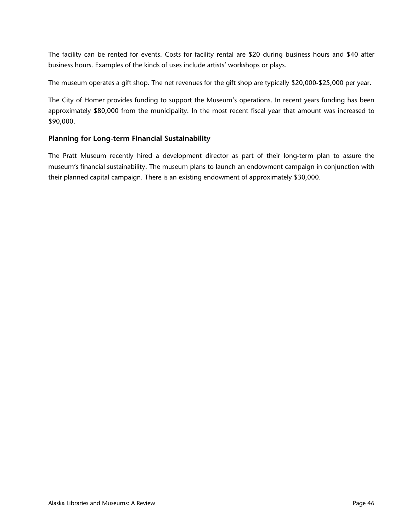The facility can be rented for events. Costs for facility rental are \$20 during business hours and \$40 after business hours. Examples of the kinds of uses include artists' workshops or plays.

The museum operates a gift shop. The net revenues for the gift shop are typically \$20,000-\$25,000 per year.

The City of Homer provides funding to support the Museum's operations. In recent years funding has been approximately \$80,000 from the municipality. In the most recent fiscal year that amount was increased to \$90,000.

#### **Planning for Long-term Financial Sustainability**

The Pratt Museum recently hired a development director as part of their long-term plan to assure the museum's financial sustainability. The museum plans to launch an endowment campaign in conjunction with their planned capital campaign. There is an existing endowment of approximately \$30,000.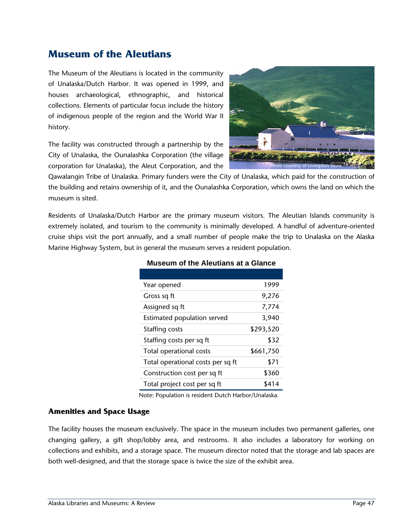## **Museum of the Aleutians**

The Museum of the Aleutians is located in the community of Unalaska/Dutch Harbor. It was opened in 1999, and houses archaeological, ethnographic, and historical collections. Elements of particular focus include the history of indigenous people of the region and the World War II history.

The facility was constructed through a partnership by the City of Unalaska, the Ounalashka Corporation (the village corporation for Unalaska), the Aleut Corporation, and the



Qawalangin Tribe of Unalaska. Primary funders were the City of Unalaska, which paid for the construction of the building and retains ownership of it, and the Ounalashka Corporation, which owns the land on which the museum is sited.

Residents of Unalaska/Dutch Harbor are the primary museum visitors. The Aleutian Islands community is extremely isolated, and tourism to the community is minimally developed. A handful of adventure-oriented cruise ships visit the port annually, and a small number of people make the trip to Unalaska on the Alaska Marine Highway System, but in general the museum serves a resident population.

| Year opened                       | 1999      |
|-----------------------------------|-----------|
| Gross sq ft                       | 9,276     |
| Assigned sq ft                    | 7,774     |
| Estimated population served       | 3,940     |
| Staffing costs                    | \$293,520 |
| Staffing costs per sq ft          | \$32      |
| Total operational costs           | \$661,750 |
| Total operational costs per sq ft | \$71      |
| Construction cost per sq ft       | \$360     |
| Total project cost per sq ft      | \$414     |

#### **Museum of the Aleutians at a Glance**

Note: Population is resident Dutch Harbor/Unalaska.

#### **Amenities and Space Usage**

The facility houses the museum exclusively. The space in the museum includes two permanent galleries, one changing gallery, a gift shop/lobby area, and restrooms. It also includes a laboratory for working on collections and exhibits, and a storage space. The museum director noted that the storage and lab spaces are both well-designed, and that the storage space is twice the size of the exhibit area.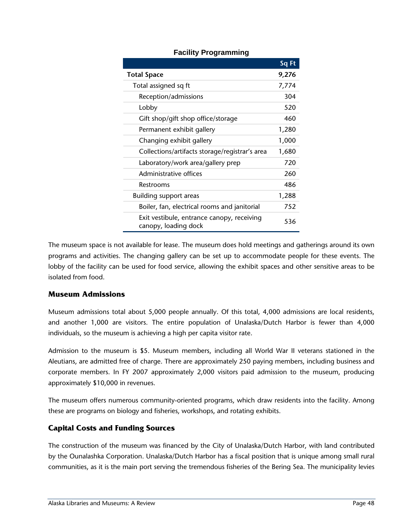|                                                                    | Sq Ft |
|--------------------------------------------------------------------|-------|
| <b>Total Space</b>                                                 | 9,276 |
| Total assigned sq ft                                               | 7,774 |
| Reception/admissions                                               | 304   |
| Lobby                                                              | 520   |
| Gift shop/gift shop office/storage                                 | 460   |
| Permanent exhibit gallery                                          | 1,280 |
| Changing exhibit gallery                                           | 1,000 |
| Collections/artifacts storage/registrar's area                     | 1,680 |
| Laboratory/work area/gallery prep                                  | 720   |
| Administrative offices                                             | 260   |
| Restrooms                                                          | 486   |
| <b>Building support areas</b>                                      | 1,288 |
| Boiler, fan, electrical rooms and janitorial                       | 752   |
| Exit vestibule, entrance canopy, receiving<br>canopy, loading dock | 536   |

#### **Facility Programming**

The museum space is not available for lease. The museum does hold meetings and gatherings around its own programs and activities. The changing gallery can be set up to accommodate people for these events. The lobby of the facility can be used for food service, allowing the exhibit spaces and other sensitive areas to be isolated from food.

#### **Museum Admissions**

Museum admissions total about 5,000 people annually. Of this total, 4,000 admissions are local residents, and another 1,000 are visitors. The entire population of Unalaska/Dutch Harbor is fewer than 4,000 individuals, so the museum is achieving a high per capita visitor rate.

Admission to the museum is \$5. Museum members, including all World War II veterans stationed in the Aleutians, are admitted free of charge. There are approximately 250 paying members, including business and corporate members. In FY 2007 approximately 2,000 visitors paid admission to the museum, producing approximately \$10,000 in revenues.

The museum offers numerous community-oriented programs, which draw residents into the facility. Among these are programs on biology and fisheries, workshops, and rotating exhibits.

#### **Capital Costs and Funding Sources**

The construction of the museum was financed by the City of Unalaska/Dutch Harbor, with land contributed by the Ounalashka Corporation. Unalaska/Dutch Harbor has a fiscal position that is unique among small rural communities, as it is the main port serving the tremendous fisheries of the Bering Sea. The municipality levies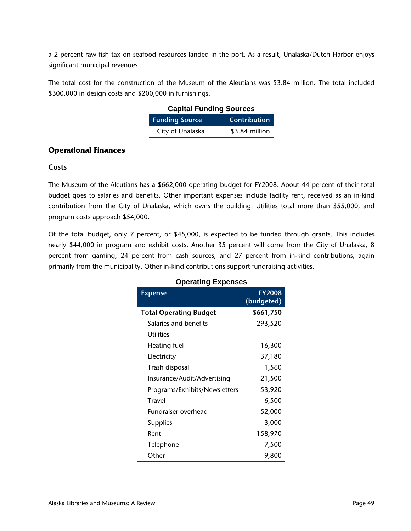a 2 percent raw fish tax on seafood resources landed in the port. As a result, Unalaska/Dutch Harbor enjoys significant municipal revenues.

The total cost for the construction of the Museum of the Aleutians was \$3.84 million. The total included \$300,000 in design costs and \$200,000 in furnishings.

| <b>Capital Funding Sources</b>        |                |
|---------------------------------------|----------------|
| <b>Funding Source</b><br>Contribution |                |
| City of Unalaska                      | \$3.84 million |

#### **Operational Finances**

#### **Costs**

The Museum of the Aleutians has a \$662,000 operating budget for FY2008. About 44 percent of their total budget goes to salaries and benefits. Other important expenses include facility rent, received as an in-kind contribution from the City of Unalaska, which owns the building. Utilities total more than \$55,000, and program costs approach \$54,000.

Of the total budget, only 7 percent, or \$45,000, is expected to be funded through grants. This includes nearly \$44,000 in program and exhibit costs. Another 35 percent will come from the City of Unalaska, 8 percent from gaming, 24 percent from cash sources, and 27 percent from in-kind contributions, again primarily from the municipality. Other in-kind contributions support fundraising activities.

| <b>Expense</b>                | <b>FY2008</b><br>(budgeted) |
|-------------------------------|-----------------------------|
| <b>Total Operating Budget</b> | \$661,750                   |
| Salaries and benefits         | 293,520                     |
| <b>Utilities</b>              |                             |
| Heating fuel                  | 16,300                      |
| Electricity                   | 37,180                      |
| Trash disposal                | 1,560                       |
| Insurance/Audit/Advertising   | 21,500                      |
| Programs/Exhibits/Newsletters | 53,920                      |
| Travel                        | 6,500                       |
| Fundraiser overhead           | 52,000                      |
| <b>Supplies</b>               | 3,000                       |
| Rent                          | 158,970                     |
| Telephone                     | 7,500                       |
| Other                         | 9,800                       |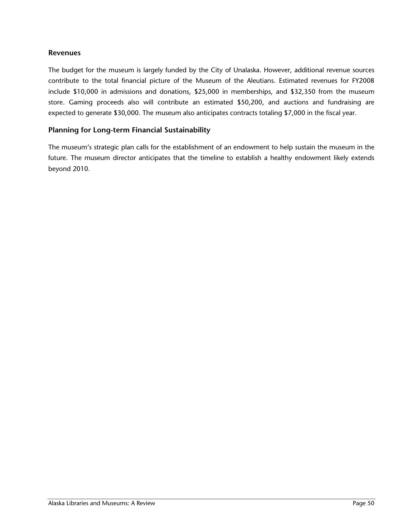#### **Revenues**

The budget for the museum is largely funded by the City of Unalaska. However, additional revenue sources contribute to the total financial picture of the Museum of the Aleutians. Estimated revenues for FY2008 include \$10,000 in admissions and donations, \$25,000 in memberships, and \$32,350 from the museum store. Gaming proceeds also will contribute an estimated \$50,200, and auctions and fundraising are expected to generate \$30,000. The museum also anticipates contracts totaling \$7,000 in the fiscal year.

#### **Planning for Long-term Financial Sustainability**

The museum's strategic plan calls for the establishment of an endowment to help sustain the museum in the future. The museum director anticipates that the timeline to establish a healthy endowment likely extends beyond 2010.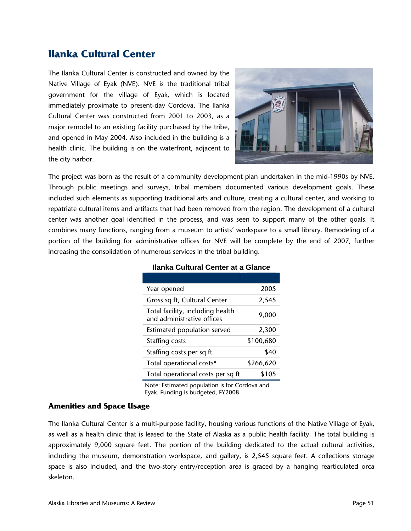## **Ilanka Cultural Center**

The Ilanka Cultural Center is constructed and owned by the Native Village of Eyak (NVE). NVE is the traditional tribal government for the village of Eyak, which is located immediately proximate to present-day Cordova. The Ilanka Cultural Center was constructed from 2001 to 2003, as a major remodel to an existing facility purchased by the tribe, and opened in May 2004. Also included in the building is a health clinic. The building is on the waterfront, adjacent to the city harbor.



The project was born as the result of a community development plan undertaken in the mid-1990s by NVE. Through public meetings and surveys, tribal members documented various development goals. These included such elements as supporting traditional arts and culture, creating a cultural center, and working to repatriate cultural items and artifacts that had been removed from the region. The development of a cultural center was another goal identified in the process, and was seen to support many of the other goals. It combines many functions, ranging from a museum to artists' workspace to a small library. Remodeling of a portion of the building for administrative offices for NVE will be complete by the end of 2007, further increasing the consolidation of numerous services in the tribal building.

| Year opened                                                    | 2005      |
|----------------------------------------------------------------|-----------|
| Gross sq ft, Cultural Center                                   | 2,545     |
| Total facility, including health<br>and administrative offices | 9,000     |
| Estimated population served                                    | 2,300     |
| Staffing costs                                                 | \$100,680 |
| Staffing costs per sq ft                                       | \$40      |
| Total operational costs*                                       | \$266,620 |
| Total operational costs per sq ft                              | \$105     |

#### **Ilanka Cultural Center at a Glance**

Note: Estimated population is for Cordova and Eyak. Funding is budgeted, FY2008.

#### **Amenities and Space Usage**

The Ilanka Cultural Center is a multi-purpose facility, housing various functions of the Native Village of Eyak, as well as a health clinic that is leased to the State of Alaska as a public health facility. The total building is approximately 9,000 square feet. The portion of the building dedicated to the actual cultural activities, including the museum, demonstration workspace, and gallery, is 2,545 square feet. A collections storage space is also included, and the two-story entry/reception area is graced by a hanging rearticulated orca skeleton.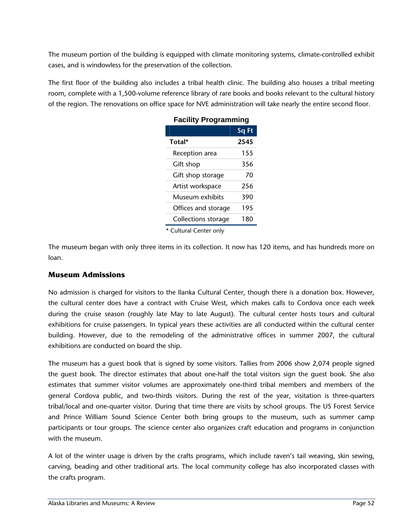The museum portion of the building is equipped with climate monitoring systems, climate-controlled exhibit cases, and is windowless for the preservation of the collection.

The first floor of the building also includes a tribal health clinic. The building also houses a tribal meeting room, complete with a 1,500-volume reference library of rare books and books relevant to the cultural history of the region. The renovations on office space for NVE administration will take nearly the entire second floor.

| ו מטווווץ ו וטעופווווווווע        |       |
|-----------------------------------|-------|
|                                   | Sq Ft |
| Total*                            | 2545  |
| Reception area                    | 155   |
| Gift shop                         | 356   |
| Gift shop storage                 | 70    |
| Artist workspace                  | 256   |
| Museum exhibits                   | 390   |
| Offices and storage               | 195   |
| Collections storage               | 180   |
| $\ast$ Cultural Cantan and $\ast$ |       |

#### **Facility Programming**

\* Cultural Center only

The museum began with only three items in its collection. It now has 120 items, and has hundreds more on loan.

#### **Museum Admissions**

No admission is charged for visitors to the Ilanka Cultural Center, though there is a donation box. However, the cultural center does have a contract with Cruise West, which makes calls to Cordova once each week during the cruise season (roughly late May to late August). The cultural center hosts tours and cultural exhibitions for cruise passengers. In typical years these activities are all conducted within the cultural center building. However, due to the remodeling of the administrative offices in summer 2007, the cultural exhibitions are conducted on board the ship.

The museum has a guest book that is signed by some visitors. Tallies from 2006 show 2,074 people signed the guest book. The director estimates that about one-half the total visitors sign the guest book. She also estimates that summer visitor volumes are approximately one-third tribal members and members of the general Cordova public, and two-thirds visitors. During the rest of the year, visitation is three-quarters tribal/local and one-quarter visitor. During that time there are visits by school groups. The US Forest Service and Prince William Sound Science Center both bring groups to the museum, such as summer camp participants or tour groups. The science center also organizes craft education and programs in conjunction with the museum.

A lot of the winter usage is driven by the crafts programs, which include raven's tail weaving, skin sewing, carving, beading and other traditional arts. The local community college has also incorporated classes with the crafts program.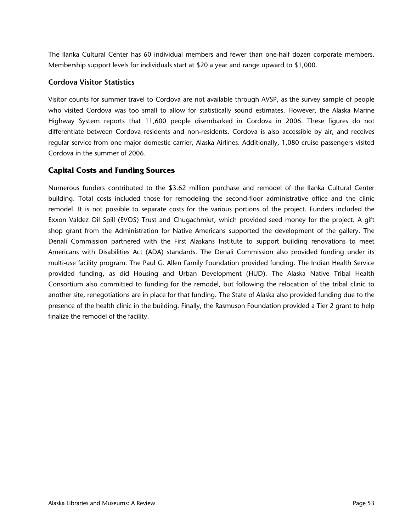The Ilanka Cultural Center has 60 individual members and fewer than one-half dozen corporate members. Membership support levels for individuals start at \$20 a year and range upward to \$1,000.

#### **Cordova Visitor Statistics**

Visitor counts for summer travel to Cordova are not available through AVSP, as the survey sample of people who visited Cordova was too small to allow for statistically sound estimates. However, the Alaska Marine Highway System reports that 11,600 people disembarked in Cordova in 2006. These figures do not differentiate between Cordova residents and non-residents. Cordova is also accessible by air, and receives regular service from one major domestic carrier, Alaska Airlines. Additionally, 1,080 cruise passengers visited Cordova in the summer of 2006.

#### **Capital Costs and Funding Sources**

Numerous funders contributed to the \$3.62 million purchase and remodel of the Ilanka Cultural Center building. Total costs included those for remodeling the second-floor administrative office and the clinic remodel. It is not possible to separate costs for the various portions of the project. Funders included the Exxon Valdez Oil Spill (EVOS) Trust and Chugachmiut, which provided seed money for the project. A gift shop grant from the Administration for Native Americans supported the development of the gallery. The Denali Commission partnered with the First Alaskans Institute to support building renovations to meet Americans with Disabilities Act (ADA) standards. The Denali Commission also provided funding under its multi-use facility program. The Paul G. Allen Family Foundation provided funding. The Indian Health Service provided funding, as did Housing and Urban Development (HUD). The Alaska Native Tribal Health Consortium also committed to funding for the remodel, but following the relocation of the tribal clinic to another site, renegotiations are in place for that funding. The State of Alaska also provided funding due to the presence of the health clinic in the building. Finally, the Rasmuson Foundation provided a Tier 2 grant to help finalize the remodel of the facility.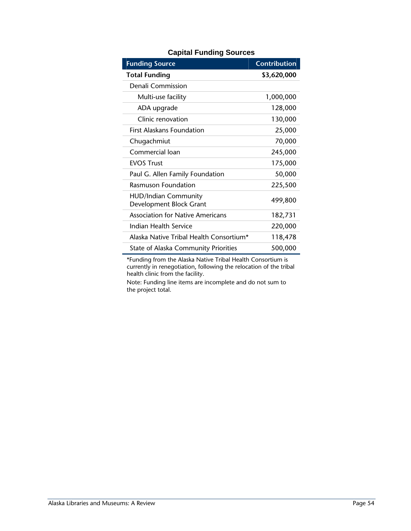| <b>Funding Source</b>                                  | <b>Contribution</b> |
|--------------------------------------------------------|---------------------|
| <b>Total Funding</b>                                   | \$3,620,000         |
| Denali Commission                                      |                     |
| Multi-use facility                                     | 1,000,000           |
| ADA upgrade                                            | 128,000             |
| Clinic renovation                                      | 130,000             |
| <b>First Alaskans Foundation</b>                       | 25,000              |
| Chugachmiut                                            | 70,000              |
| Commercial loan                                        | 245,000             |
| <b>FVOS Trust</b>                                      | 175,000             |
| Paul G. Allen Family Foundation                        | 50,000              |
| <b>Rasmuson Foundation</b>                             | 225,500             |
| <b>HUD/Indian Community</b><br>Development Block Grant | 499,800             |
| <b>Association for Native Americans</b>                | 182,731             |
| Indian Health Service                                  | 220,000             |
| Alaska Native Tribal Health Consortium*                | 118,478             |
| <b>State of Alaska Community Priorities</b>            | 500,000             |

#### **Capital Funding Sources**

\*Funding from the Alaska Native Tribal Health Consortium is currently in renegotiation, following the relocation of the tribal health clinic from the facility.

Note: Funding line items are incomplete and do not sum to the project total.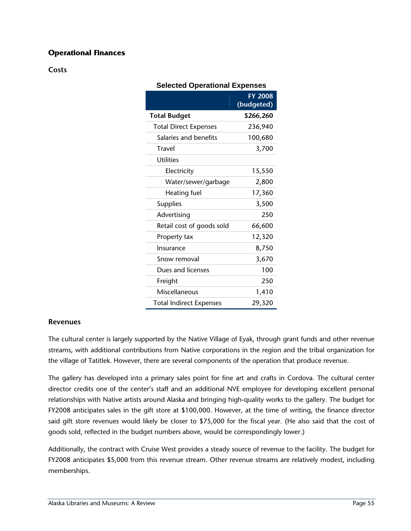#### **Operational Finances**

**Costs** 

| <b>Selected Operational Expenses</b> |                              |
|--------------------------------------|------------------------------|
|                                      | <b>FY 2008</b><br>(budgeted) |
| <b>Total Budget</b>                  | \$266,260                    |
| <b>Total Direct Expenses</b>         | 236,940                      |
| Salaries and benefits                | 100,680                      |
| Travel                               | 3,700                        |
| <b>Utilities</b>                     |                              |
| Electricity                          | 15,550                       |
| Water/sewer/garbage                  | 2,800                        |
| Heating fuel                         | 17,360                       |
| <b>Supplies</b>                      | 3,500                        |
| Advertising                          | 250                          |
| Retail cost of goods sold            | 66,600                       |
| Property tax                         | 12,320                       |
| Insurance                            | 8,750                        |
| Snow removal                         | 3,670                        |
| Dues and licenses                    | 100                          |
| Freight                              | 250                          |
| Miscellaneous                        | 1,410                        |
| <b>Total Indirect Expenses</b>       | 29,320                       |

#### **Revenues**

The cultural center is largely supported by the Native Village of Eyak, through grant funds and other revenue streams, with additional contributions from Native corporations in the region and the tribal organization for the village of Tatitlek. However, there are several components of the operation that produce revenue.

The gallery has developed into a primary sales point for fine art and crafts in Cordova. The cultural center director credits one of the center's staff and an additional NVE employee for developing excellent personal relationships with Native artists around Alaska and bringing high-quality works to the gallery. The budget for FY2008 anticipates sales in the gift store at \$100,000. However, at the time of writing, the finance director said gift store revenues would likely be closer to \$75,000 for the fiscal year. (He also said that the cost of goods sold, reflected in the budget numbers above, would be correspondingly lower.)

Additionally, the contract with Cruise West provides a steady source of revenue to the facility. The budget for FY2008 anticipates \$5,000 from this revenue stream. Other revenue streams are relatively modest, including memberships.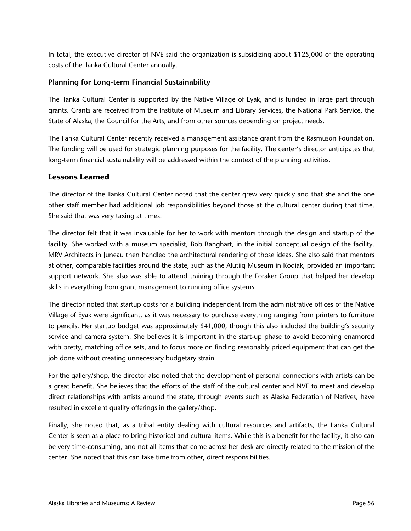In total, the executive director of NVE said the organization is subsidizing about \$125,000 of the operating costs of the Ilanka Cultural Center annually.

#### **Planning for Long-term Financial Sustainability**

The Ilanka Cultural Center is supported by the Native Village of Eyak, and is funded in large part through grants. Grants are received from the Institute of Museum and Library Services, the National Park Service, the State of Alaska, the Council for the Arts, and from other sources depending on project needs.

The Ilanka Cultural Center recently received a management assistance grant from the Rasmuson Foundation. The funding will be used for strategic planning purposes for the facility. The center's director anticipates that long-term financial sustainability will be addressed within the context of the planning activities.

#### **Lessons Learned**

The director of the Ilanka Cultural Center noted that the center grew very quickly and that she and the one other staff member had additional job responsibilities beyond those at the cultural center during that time. She said that was very taxing at times.

The director felt that it was invaluable for her to work with mentors through the design and startup of the facility. She worked with a museum specialist, Bob Banghart, in the initial conceptual design of the facility. MRV Architects in Juneau then handled the architectural rendering of those ideas. She also said that mentors at other, comparable facilities around the state, such as the Alutiiq Museum in Kodiak, provided an important support network. She also was able to attend training through the Foraker Group that helped her develop skills in everything from grant management to running office systems.

The director noted that startup costs for a building independent from the administrative offices of the Native Village of Eyak were significant, as it was necessary to purchase everything ranging from printers to furniture to pencils. Her startup budget was approximately \$41,000, though this also included the building's security service and camera system. She believes it is important in the start-up phase to avoid becoming enamored with pretty, matching office sets, and to focus more on finding reasonably priced equipment that can get the job done without creating unnecessary budgetary strain.

For the gallery/shop, the director also noted that the development of personal connections with artists can be a great benefit. She believes that the efforts of the staff of the cultural center and NVE to meet and develop direct relationships with artists around the state, through events such as Alaska Federation of Natives, have resulted in excellent quality offerings in the gallery/shop.

Finally, she noted that, as a tribal entity dealing with cultural resources and artifacts, the Ilanka Cultural Center is seen as a place to bring historical and cultural items. While this is a benefit for the facility, it also can be very time-consuming, and not all items that come across her desk are directly related to the mission of the center. She noted that this can take time from other, direct responsibilities.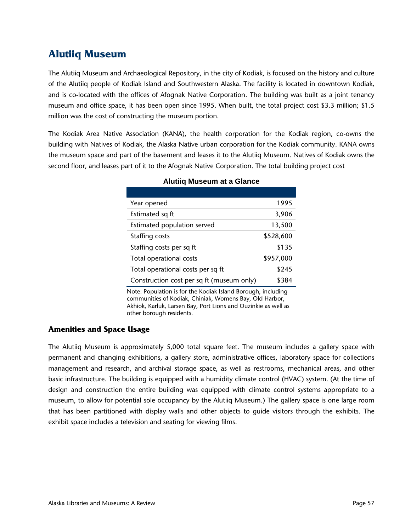## **Alutiiq Museum**

The Alutiiq Museum and Archaeological Repository, in the city of Kodiak, is focused on the history and culture of the Alutiiq people of Kodiak Island and Southwestern Alaska. The facility is located in downtown Kodiak, and is co-located with the offices of Afognak Native Corporation. The building was built as a joint tenancy museum and office space, it has been open since 1995. When built, the total project cost \$3.3 million; \$1.5 million was the cost of constructing the museum portion.

The Kodiak Area Native Association (KANA), the health corporation for the Kodiak region, co-owns the building with Natives of Kodiak, the Alaska Native urban corporation for the Kodiak community. KANA owns the museum space and part of the basement and leases it to the Alutiiq Museum. Natives of Kodiak owns the second floor, and leases part of it to the Afognak Native Corporation. The total building project cost

| Year opened                               | 1995      |
|-------------------------------------------|-----------|
| Estimated sq ft                           | 3,906     |
| Estimated population served               | 13,500    |
| Staffing costs                            | \$528,600 |
| Staffing costs per sq ft                  | \$135     |
| Total operational costs                   | \$957,000 |
| Total operational costs per sq ft         | \$245     |
| Construction cost per sq ft (museum only) | \$384     |

#### **Alutiiq Museum at a Glance**

Note: Population is for the Kodiak Island Borough, including communities of Kodiak, Chiniak, Womens Bay, Old Harbor, Akhiok, Karluk, Larsen Bay, Port Lions and Ouzinkie as well as other borough residents.

#### **Amenities and Space Usage**

The Alutiiq Museum is approximately 5,000 total square feet. The museum includes a gallery space with permanent and changing exhibitions, a gallery store, administrative offices, laboratory space for collections management and research, and archival storage space, as well as restrooms, mechanical areas, and other basic infrastructure. The building is equipped with a humidity climate control (HVAC) system. (At the time of design and construction the entire building was equipped with climate control systems appropriate to a museum, to allow for potential sole occupancy by the Alutiiq Museum.) The gallery space is one large room that has been partitioned with display walls and other objects to guide visitors through the exhibits. The exhibit space includes a television and seating for viewing films.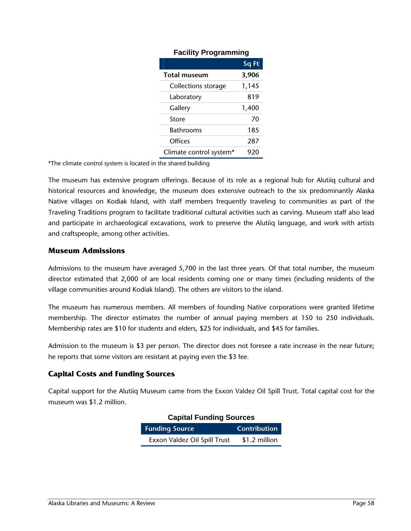|                         | Sq Ft |
|-------------------------|-------|
| <b>Total museum</b>     | 3,906 |
| Collections storage     | 1,145 |
| Laboratory              | 819   |
| Gallery                 | 1,400 |
| Store                   | 70    |
| <b>Bathrooms</b>        | 185   |
| Offices                 | 287   |
| Climate control system* | 920   |

#### **Facility Programming**

\*The climate control system is located in the shared building

The museum has extensive program offerings. Because of its role as a regional hub for Alutiiq cultural and historical resources and knowledge, the museum does extensive outreach to the six predominantly Alaska Native villages on Kodiak Island, with staff members frequently traveling to communities as part of the Traveling Traditions program to facilitate traditional cultural activities such as carving. Museum staff also lead and participate in archaeological excavations, work to preserve the Alutiiq language, and work with artists and craftspeople, among other activities.

#### **Museum Admissions**

Admissions to the museum have averaged 5,700 in the last three years. Of that total number, the museum director estimated that 2,000 of are local residents coming one or many times (including residents of the village communities around Kodiak Island). The others are visitors to the island.

The museum has numerous members. All members of founding Native corporations were granted lifetime membership. The director estimates the number of annual paying members at 150 to 250 individuals. Membership rates are \$10 for students and elders, \$25 for individuals, and \$45 for families.

Admission to the museum is \$3 per person. The director does not foresee a rate increase in the near future; he reports that some visitors are resistant at paying even the \$3 fee.

#### **Capital Costs and Funding Sources**

Capital support for the Alutiiq Museum came from the Exxon Valdez Oil Spill Trust. Total capital cost for the museum was \$1.2 million.

| <b>Capital Funding Sources</b> |                     |  |
|--------------------------------|---------------------|--|
| <b>Funding Source</b>          | <b>Contribution</b> |  |
| Exxon Valdez Oil Spill Trust   | \$1.2 million       |  |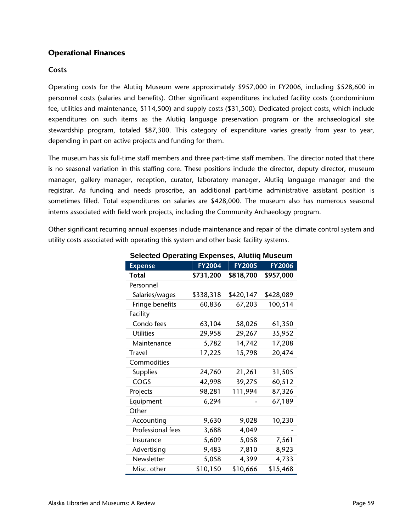#### **Operational Finances**

#### **Costs**

Operating costs for the Alutiiq Museum were approximately \$957,000 in FY2006, including \$528,600 in personnel costs (salaries and benefits). Other significant expenditures included facility costs (condominium fee, utilities and maintenance, \$114,500) and supply costs (\$31,500). Dedicated project costs, which include expenditures on such items as the Alutiiq language preservation program or the archaeological site stewardship program, totaled \$87,300. This category of expenditure varies greatly from year to year, depending in part on active projects and funding for them.

The museum has six full-time staff members and three part-time staff members. The director noted that there is no seasonal variation in this staffing core. These positions include the director, deputy director, museum manager, gallery manager, reception, curator, laboratory manager, Alutiiq language manager and the registrar. As funding and needs proscribe, an additional part-time administrative assistant position is sometimes filled. Total expenditures on salaries are \$428,000. The museum also has numerous seasonal interns associated with field work projects, including the Community Archaeology program.

Other significant recurring annual expenses include maintenance and repair of the climate control system and utility costs associated with operating this system and other basic facility systems.

| ocicolca Operating Experises, Alating mascalli |               |               |               |
|------------------------------------------------|---------------|---------------|---------------|
| <b>Expense</b>                                 | <b>FY2004</b> | <b>FY2005</b> | <b>FY2006</b> |
| <b>Total</b>                                   | \$731,200     | \$818,700     | \$957,000     |
| Personnel                                      |               |               |               |
| Salaries/wages                                 | \$338,318     | \$420,147     | \$428,089     |
| Fringe benefits                                | 60,836        | 67,203        | 100,514       |
| Facility                                       |               |               |               |
| Condo fees                                     | 63,104        | 58,026        | 61,350        |
| <b>Utilities</b>                               | 29,958        | 29,267        | 35,952        |
| Maintenance                                    | 5,782         | 14,742        | 17,208        |
| <b>Travel</b>                                  | 17,225        | 15,798        | 20,474        |
| Commodities                                    |               |               |               |
| Supplies                                       | 24,760        | 21,261        | 31,505        |
| COGS                                           | 42,998        | 39,275        | 60,512        |
| Projects                                       | 98,281        | 111,994       | 87,326        |
| Equipment                                      | 6,294         |               | 67,189        |
| Other                                          |               |               |               |
| Accounting                                     | 9,630         | 9,028         | 10,230        |
| Professional fees                              | 3,688         | 4,049         |               |
| Insurance                                      | 5,609         | 5,058         | 7,561         |
| Advertising                                    | 9,483         | 7,810         | 8,923         |
| Newsletter                                     | 5,058         | 4,399         | 4,733         |
| Misc. other                                    | \$10,150      | \$10,666      | \$15,468      |

**Selected Operating Expenses, Alutiiq Museum**